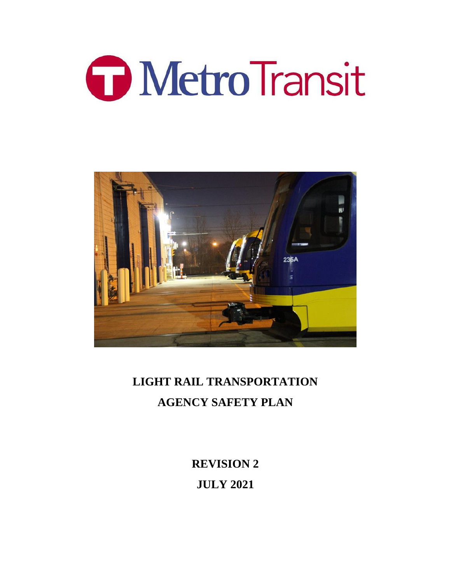



# **LIGHT RAIL TRANSPORTATION AGENCY SAFETY PLAN**

**REVISION 2 JULY 2021**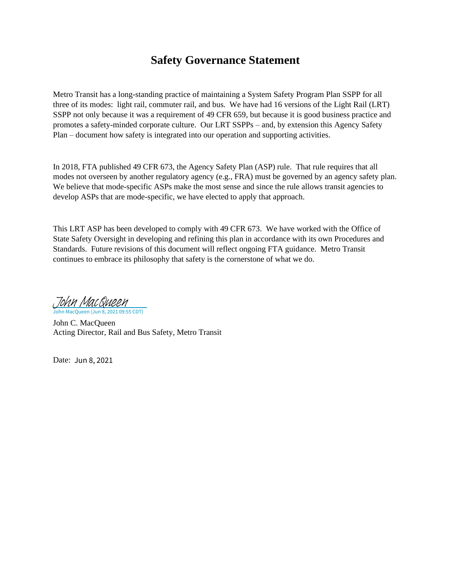# **Safety Governance Statement**

Metro Transit has a long-standing practice of maintaining a System Safety Program Plan SSPP for all three of its modes: light rail, commuter rail, and bus. We have had 16 versions of the Light Rail (LRT) SSPP not only because it was a requirement of 49 CFR 659, but because it is good business practice and promotes a safety-minded corporate culture. Our LRT SSPPs – and, by extension this Agency Safety Plan – document how safety is integrated into our operation and supporting activities.

In 2018, FTA published 49 CFR 673, the Agency Safety Plan (ASP) rule. That rule requires that all modes not overseen by another regulatory agency (e.g., FRA) must be governed by an agency safety plan. We believe that mode-specific ASPs make the most sense and since the rule allows transit agencies to develop ASPs that are mode-specific, we have elected to apply that approach.

This LRT ASP has been developed to comply with 49 CFR 673. We have worked with the Office of State Safety Oversight in developing and refining this plan in accordance with its own Procedures and Standards. Future revisions of this document will reflect ongoing FTA guidance. Metro Transit continues to embrace its philosophy that safety is the cornerstone of what we do.

In MacQueen (Jun 8, 2021 09:55 CDT) [John MacQueen](https://metcouncil.na1.adobesign.com/verifier?tx=CBJCHBCAABAAHq46FOl993sEqzROjGqttB35OpwnHNJQ)

John C. MacQueen Acting Director, Rail and Bus Safety, Metro Transit

Date: Jun 8, 2021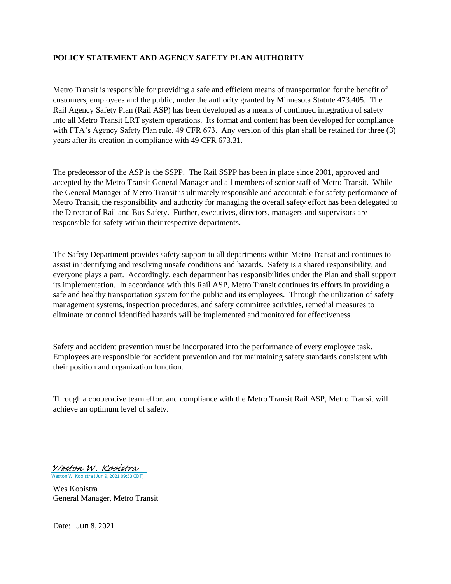#### **POLICY STATEMENT AND AGENCY SAFETY PLAN AUTHORITY**

Metro Transit is responsible for providing a safe and efficient means of transportation for the benefit of customers, employees and the public, under the authority granted by Minnesota Statute 473.405. The Rail Agency Safety Plan (Rail ASP) has been developed as a means of continued integration of safety into all Metro Transit LRT system operations. Its format and content has been developed for compliance with FTA's Agency Safety Plan rule, 49 CFR 673. Any version of this plan shall be retained for three (3) years after its creation in compliance with 49 CFR 673.31.

The predecessor of the ASP is the SSPP. The Rail SSPP has been in place since 2001, approved and accepted by the Metro Transit General Manager and all members of senior staff of Metro Transit. While the General Manager of Metro Transit is ultimately responsible and accountable for safety performance of Metro Transit, the responsibility and authority for managing the overall safety effort has been delegated to the Director of Rail and Bus Safety. Further, executives, directors, managers and supervisors are responsible for safety within their respective departments.

The Safety Department provides safety support to all departments within Metro Transit and continues to assist in identifying and resolving unsafe conditions and hazards. Safety is a shared responsibility, and everyone plays a part. Accordingly, each department has responsibilities under the Plan and shall support its implementation. In accordance with this Rail ASP, Metro Transit continues its efforts in providing a safe and healthy transportation system for the public and its employees. Through the utilization of safety management systems, inspection procedures, and safety committee activities, remedial measures to eliminate or control identified hazards will be implemented and monitored for effectiveness.

Safety and accident prevention must be incorporated into the performance of every employee task. Employees are responsible for accident prevention and for maintaining safety standards consistent with their position and organization function.

Through a cooperative team effort and compliance with the Metro Transit Rail ASP, Metro Transit will achieve an optimum level of safety.

Weston W. Kooistra (Jun 9, 2021 09:53 CDT) [Weston W. Kooistra](https://metcouncil.na1.adobesign.com/verifier?tx=CBJCHBCAABAAHq46FOl993sEqzROjGqttB35OpwnHNJQ)

Wes Kooistra General Manager, Metro Transit

Date: Jun 8, 2021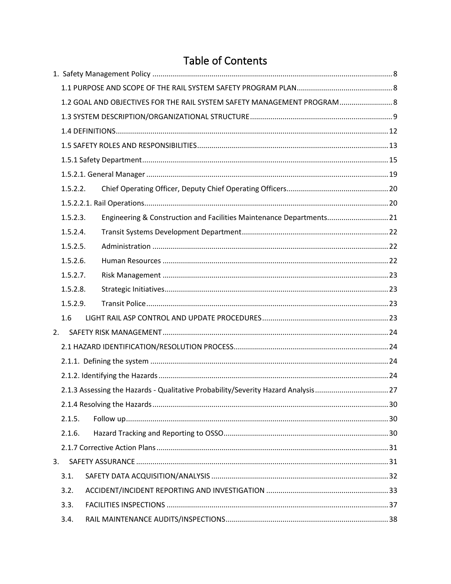# **Table of Contents**

|    |          | 1.2 GOAL AND OBJECTIVES FOR THE RAIL SYSTEM SAFETY MANAGEMENT PROGRAM 8          |  |
|----|----------|----------------------------------------------------------------------------------|--|
|    |          |                                                                                  |  |
|    |          |                                                                                  |  |
|    |          |                                                                                  |  |
|    |          |                                                                                  |  |
|    |          |                                                                                  |  |
|    | 1.5.2.2. |                                                                                  |  |
|    |          |                                                                                  |  |
|    | 1.5.2.3. | Engineering & Construction and Facilities Maintenance Departments 21             |  |
|    | 1.5.2.4. |                                                                                  |  |
|    | 1.5.2.5. |                                                                                  |  |
|    | 1.5.2.6. |                                                                                  |  |
|    | 1.5.2.7. |                                                                                  |  |
|    | 1.5.2.8. |                                                                                  |  |
|    | 1.5.2.9. |                                                                                  |  |
|    | 1.6      |                                                                                  |  |
| 2. |          |                                                                                  |  |
|    |          |                                                                                  |  |
|    |          |                                                                                  |  |
|    |          |                                                                                  |  |
|    |          | 2.1.3 Assessing the Hazards - Qualitative Probability/Severity Hazard Analysis27 |  |
|    |          |                                                                                  |  |
|    | 2.1.5.   |                                                                                  |  |
|    | 2.1.6.   |                                                                                  |  |
|    |          |                                                                                  |  |
| 3. |          |                                                                                  |  |
|    | 3.1.     |                                                                                  |  |
|    | 3.2.     |                                                                                  |  |
|    | 3.3.     |                                                                                  |  |
|    | 3.4.     |                                                                                  |  |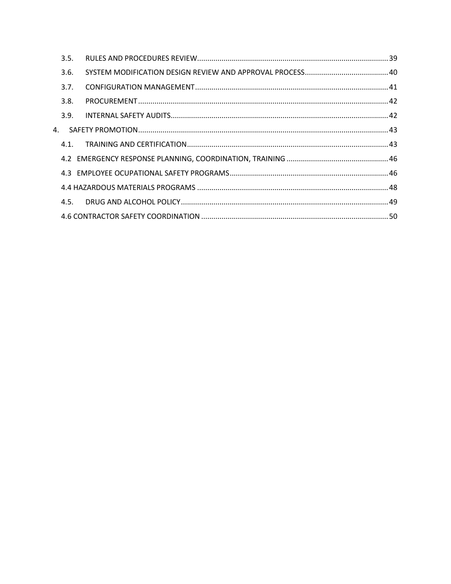| 3.5. |  |
|------|--|
| 3.6. |  |
| 3.7. |  |
| 3.8. |  |
| 3.9. |  |
| 4.   |  |
| 4.1. |  |
|      |  |
|      |  |
|      |  |
| 4.5. |  |
|      |  |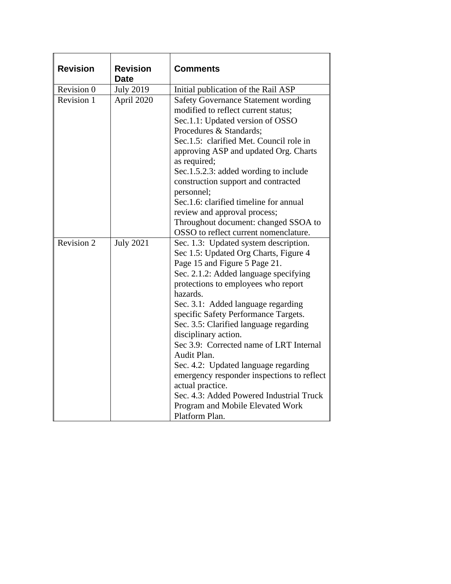| <b>Revision</b> | <b>Revision</b><br><b>Date</b> | <b>Comments</b>                                                                                                                                                                                                                                                                                                                                                                                                                                                                                                                                                                                                                   |
|-----------------|--------------------------------|-----------------------------------------------------------------------------------------------------------------------------------------------------------------------------------------------------------------------------------------------------------------------------------------------------------------------------------------------------------------------------------------------------------------------------------------------------------------------------------------------------------------------------------------------------------------------------------------------------------------------------------|
| Revision 0      | <b>July 2019</b>               | Initial publication of the Rail ASP                                                                                                                                                                                                                                                                                                                                                                                                                                                                                                                                                                                               |
| Revision 1      | April 2020                     | <b>Safety Governance Statement wording</b><br>modified to reflect current status;<br>Sec.1.1: Updated version of OSSO<br>Procedures & Standards;<br>Sec.1.5: clarified Met. Council role in<br>approving ASP and updated Org. Charts<br>as required;<br>Sec.1.5.2.3: added wording to include<br>construction support and contracted<br>personnel;<br>Sec.1.6: clarified timeline for annual<br>review and approval process;<br>Throughout document: changed SSOA to<br>OSSO to reflect current nomenclature.                                                                                                                     |
| Revision 2      | <b>July 2021</b>               | Sec. 1.3: Updated system description.<br>Sec 1.5: Updated Org Charts, Figure 4<br>Page 15 and Figure 5 Page 21.<br>Sec. 2.1.2: Added language specifying<br>protections to employees who report<br>hazards.<br>Sec. 3.1: Added language regarding<br>specific Safety Performance Targets.<br>Sec. 3.5: Clarified language regarding<br>disciplinary action.<br>Sec 3.9: Corrected name of LRT Internal<br>Audit Plan.<br>Sec. 4.2: Updated language regarding<br>emergency responder inspections to reflect<br>actual practice.<br>Sec. 4.3: Added Powered Industrial Truck<br>Program and Mobile Elevated Work<br>Platform Plan. |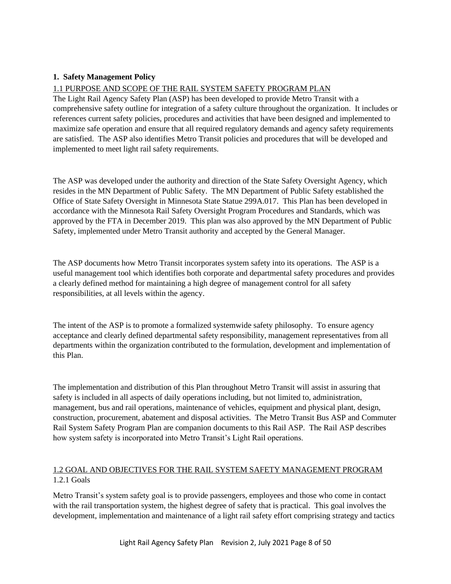# <span id="page-7-3"></span><span id="page-7-0"></span>**1. Safety Management Policy**

#### <span id="page-7-1"></span>1.1 PURPOSE AND SCOPE OF THE RAIL SYSTEM SAFETY PROGRAM PLAN

The Light Rail Agency Safety Plan (ASP) has been developed to provide Metro Transit with a comprehensive safety outline for integration of a safety culture throughout the organization. It includes or references current safety policies, procedures and activities that have been designed and implemented to maximize safe operation and ensure that all required regulatory demands and agency safety requirements are satisfied. The ASP also identifies Metro Transit policies and procedures that will be developed and implemented to meet light rail safety requirements.

The ASP was developed under the authority and direction of the State Safety Oversight Agency, which resides in the MN Department of Public Safety. The MN Department of Public Safety established the Office of State Safety Oversight in Minnesota State Statue 299A.017. This Plan has been developed in accordance with the Minnesota Rail Safety Oversight Program Procedures and Standards, which was approved by the FTA in December 2019. This plan was also approved by the MN Department of Public Safety, implemented under Metro Transit authority and accepted by the General Manager.

The ASP documents how Metro Transit incorporates system safety into its operations. The ASP is a useful management tool which identifies both corporate and departmental safety procedures and provides a clearly defined method for maintaining a high degree of management control for all safety responsibilities, at all levels within the agency.

The intent of the ASP is to promote a formalized systemwide safety philosophy. To ensure agency acceptance and clearly defined departmental safety responsibility, management representatives from all departments within the organization contributed to the formulation, development and implementation of this Plan.

The implementation and distribution of this Plan throughout Metro Transit will assist in assuring that safety is included in all aspects of daily operations including, but not limited to, administration, management, bus and rail operations, maintenance of vehicles, equipment and physical plant, design, construction, procurement, abatement and disposal activities. The Metro Transit Bus ASP and Commuter Rail System Safety Program Plan are companion documents to this Rail ASP. The Rail ASP describes how system safety is incorporated into Metro Transit's Light Rail operations.

# <span id="page-7-2"></span>1.2 GOAL AND OBJECTIVES FOR THE RAIL SYSTEM SAFETY MANAGEMENT PROGRAM 1.2.1 Goals

Metro Transit's system safety goal is to provide passengers, employees and those who come in contact with the rail transportation system, the highest degree of safety that is practical. This goal involves the development, implementation and maintenance of a light rail safety effort comprising strategy and tactics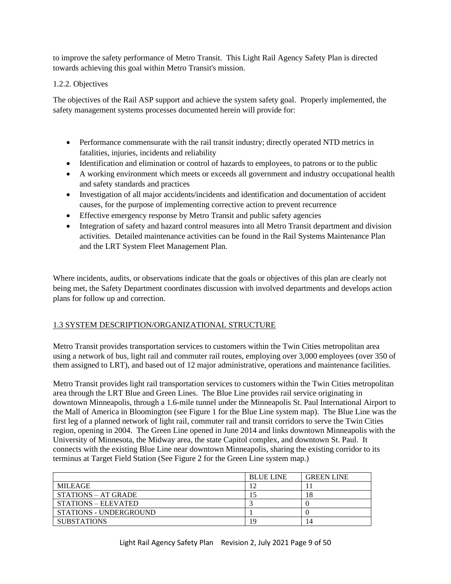<span id="page-8-1"></span>to improve the safety performance of Metro Transit. This Light Rail Agency Safety Plan is directed towards achieving this goal within Metro Transit's mission.

### 1.2.2. Objectives

The objectives of the Rail ASP support and achieve the system safety goal. Properly implemented, the safety management systems processes documented herein will provide for:

- Performance commensurate with the rail transit industry; directly operated NTD metrics in fatalities, injuries, incidents and reliability
- Identification and elimination or control of hazards to employees, to patrons or to the public
- A working environment which meets or exceeds all government and industry occupational health and safety standards and practices
- Investigation of all major accidents/incidents and identification and documentation of accident causes, for the purpose of implementing corrective action to prevent recurrence
- Effective emergency response by Metro Transit and public safety agencies
- Integration of safety and hazard control measures into all Metro Transit department and division activities. Detailed maintenance activities can be found in the Rail Systems Maintenance Plan and the LRT System Fleet Management Plan.

Where incidents, audits, or observations indicate that the goals or objectives of this plan are clearly not being met, the Safety Department coordinates discussion with involved departments and develops action plans for follow up and correction.

# <span id="page-8-0"></span>1.3 SYSTEM DESCRIPTION/ORGANIZATIONAL STRUCTURE

Metro Transit provides transportation services to customers within the Twin Cities metropolitan area using a network of bus, light rail and commuter rail routes, employing over 3,000 employees (over 350 of them assigned to LRT), and based out of 12 major administrative, operations and maintenance facilities.

Metro Transit provides light rail transportation services to customers within the Twin Cities metropolitan area through the LRT Blue and Green Lines. The Blue Line provides rail service originating in downtown Minneapolis, through a 1.6-mile tunnel under the Minneapolis St. Paul International Airport to the Mall of America in Bloomington (see Figure 1 for the Blue Line system map). The Blue Line was the first leg of a planned network of light rail, commuter rail and transit corridors to serve the Twin Cities region, opening in 2004. The Green Line opened in June 2014 and links downtown Minneapolis with the University of Minnesota, the Midway area, the state Capitol complex, and downtown St. Paul. It connects with the existing Blue Line near downtown Minneapolis, sharing the existing corridor to its terminus at Target Field Station (See Figure 2 for the Green Line system map.)

|                            | <b>BLUE LINE</b> | <b>GREEN LINE</b> |
|----------------------------|------------------|-------------------|
| MILEAGE                    |                  |                   |
| <b>STATIONS – AT GRADE</b> |                  | 18                |
| STATIONS – ELEVATED        |                  |                   |
| STATIONS - UNDERGROUND     |                  |                   |
| <b>SUBSTATIONS</b>         | 19               | 14                |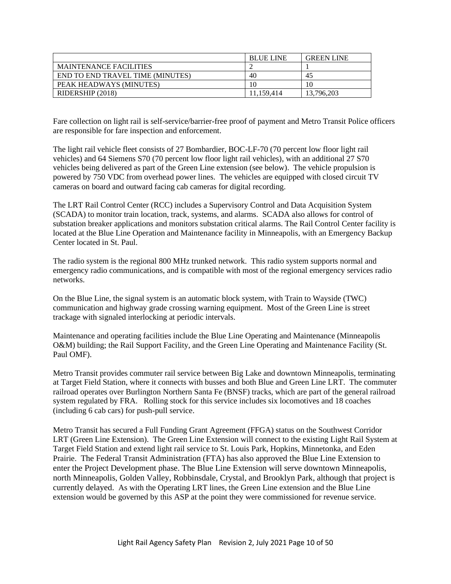|                                         | <b>BLUE LINE</b> | <b>GREEN LINE</b> |
|-----------------------------------------|------------------|-------------------|
| <b>MAINTENANCE FACILITIES</b>           |                  |                   |
| <b>END TO END TRAVEL TIME (MINUTES)</b> | 40               | 45                |
| PEAK HEADWAYS (MINUTES)                 |                  | 10                |
| RIDERSHIP (2018)                        | 11.159.414       | 13,796,203        |

Fare collection on light rail is self-service/barrier-free proof of payment and Metro Transit Police officers are responsible for fare inspection and enforcement.

The light rail vehicle fleet consists of 27 Bombardier, BOC-LF-70 (70 percent low floor light rail vehicles) and 64 Siemens S70 (70 percent low floor light rail vehicles), with an additional 27 S70 vehicles being delivered as part of the Green Line extension (see below). The vehicle propulsion is powered by 750 VDC from overhead power lines. The vehicles are equipped with closed circuit TV cameras on board and outward facing cab cameras for digital recording.

The LRT Rail Control Center (RCC) includes a Supervisory Control and Data Acquisition System (SCADA) to monitor train location, track, systems, and alarms. SCADA also allows for control of substation breaker applications and monitors substation critical alarms. The Rail Control Center facility is located at the Blue Line Operation and Maintenance facility in Minneapolis, with an Emergency Backup Center located in St. Paul.

The radio system is the regional 800 MHz trunked network. This radio system supports normal and emergency radio communications, and is compatible with most of the regional emergency services radio networks.

On the Blue Line, the signal system is an automatic block system, with Train to Wayside (TWC) communication and highway grade crossing warning equipment. Most of the Green Line is street trackage with signaled interlocking at periodic intervals.

Maintenance and operating facilities include the Blue Line Operating and Maintenance (Minneapolis O&M) building; the Rail Support Facility, and the Green Line Operating and Maintenance Facility (St. Paul OMF).

Metro Transit provides commuter rail service between Big Lake and downtown Minneapolis, terminating at Target Field Station, where it connects with busses and both Blue and Green Line LRT. The commuter railroad operates over Burlington Northern Santa Fe (BNSF) tracks, which are part of the general railroad system regulated by FRA. Rolling stock for this service includes six locomotives and 18 coaches (including 6 cab cars) for push-pull service.

Metro Transit has secured a Full Funding Grant Agreement (FFGA) status on the Southwest Corridor LRT (Green Line Extension). The Green Line Extension will connect to the existing Light Rail System at Target Field Station and extend light rail service to St. Louis Park, Hopkins, Minnetonka, and Eden Prairie. The Federal Transit Administration (FTA) has also approved the Blue Line Extension to enter the Project Development phase. The Blue Line Extension will serve downtown Minneapolis, north Minneapolis, Golden Valley, Robbinsdale, Crystal, and Brooklyn Park, although that project is currently delayed. As with the Operating LRT lines, the Green Line extension and the Blue Line extension would be governed by this ASP at the point they were commissioned for revenue service.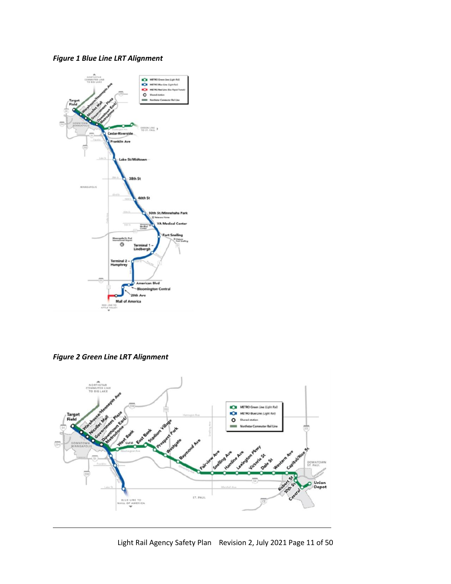# *Figure 1 Blue Line LRT Alignment*



*Figure 2 Green Line LRT Alignment*

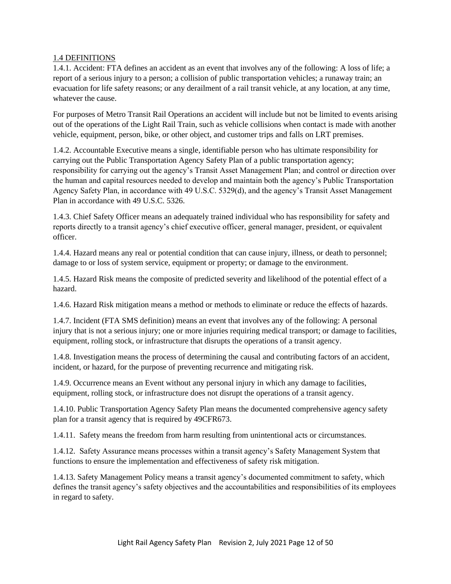#### <span id="page-11-1"></span><span id="page-11-0"></span>1.4 DEFINITIONS

1.4.1. Accident: FTA defines an accident as an event that involves any of the following: A loss of life; a report of a serious injury to a person; a collision of public transportation vehicles; a runaway train; an evacuation for life safety reasons; or any derailment of a rail transit vehicle, at any location, at any time, whatever the cause.

For purposes of Metro Transit Rail Operations an accident will include but not be limited to events arising out of the operations of the Light Rail Train, such as vehicle collisions when contact is made with another vehicle, equipment, person, bike, or other object, and customer trips and falls on LRT premises.

1.4.2. Accountable Executive means a single, identifiable person who has ultimate responsibility for carrying out the Public Transportation Agency Safety Plan of a public transportation agency; responsibility for carrying out the agency's Transit Asset Management Plan; and control or direction over the human and capital resources needed to develop and maintain both the agency's Public Transportation Agency Safety Plan, in accordance with 49 U.S.C. 5329(d), and the agency's Transit Asset Management Plan in accordance with 49 U.S.C. 5326.

1.4.3. Chief Safety Officer means an adequately trained individual who has responsibility for safety and reports directly to a transit agency's chief executive officer, general manager, president, or equivalent officer.

1.4.4. Hazard means any real or potential condition that can cause injury, illness, or death to personnel; damage to or loss of system service, equipment or property; or damage to the environment.

1.4.5. Hazard Risk means the composite of predicted severity and likelihood of the potential effect of a hazard.

1.4.6. Hazard Risk mitigation means a method or methods to eliminate or reduce the effects of hazards.

1.4.7. Incident (FTA SMS definition) means an event that involves any of the following: A personal injury that is not a serious injury; one or more injuries requiring medical transport; or damage to facilities, equipment, rolling stock, or infrastructure that disrupts the operations of a transit agency.

1.4.8. Investigation means the process of determining the causal and contributing factors of an accident, incident, or hazard, for the purpose of preventing recurrence and mitigating risk.

1.4.9. Occurrence means an Event without any personal injury in which any damage to facilities, equipment, rolling stock, or infrastructure does not disrupt the operations of a transit agency.

1.4.10. Public Transportation Agency Safety Plan means the documented comprehensive agency safety plan for a transit agency that is required by 49CFR673.

1.4.11. Safety means the freedom from harm resulting from unintentional acts or circumstances.

1.4.12. Safety Assurance means processes within a transit agency's Safety Management System that functions to ensure the implementation and effectiveness of safety risk mitigation.

1.4.13. Safety Management Policy means a transit agency's documented commitment to safety, which defines the transit agency's safety objectives and the accountabilities and responsibilities of its employees in regard to safety.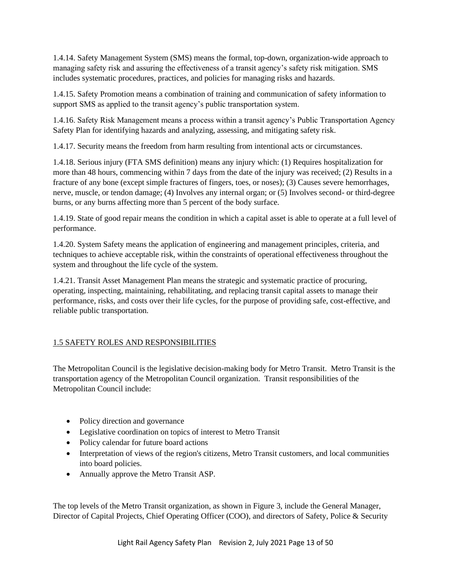<span id="page-12-1"></span>1.4.14. Safety Management System (SMS) means the formal, top-down, organization-wide approach to managing safety risk and assuring the effectiveness of a transit agency's safety risk mitigation. SMS includes systematic procedures, practices, and policies for managing risks and hazards.

1.4.15. Safety Promotion means a combination of training and communication of safety information to support SMS as applied to the transit agency's public transportation system.

1.4.16. Safety Risk Management means a process within a transit agency's Public Transportation Agency Safety Plan for identifying hazards and analyzing, assessing, and mitigating safety risk.

1.4.17. Security means the freedom from harm resulting from intentional acts or circumstances.

1.4.18. Serious injury (FTA SMS definition) means any injury which: (1) Requires hospitalization for more than 48 hours, commencing within 7 days from the date of the injury was received; (2) Results in a fracture of any bone (except simple fractures of fingers, toes, or noses); (3) Causes severe hemorrhages, nerve, muscle, or tendon damage; (4) Involves any internal organ; or (5) Involves second- or third-degree burns, or any burns affecting more than 5 percent of the body surface.

1.4.19. State of good repair means the condition in which a capital asset is able to operate at a full level of performance.

1.4.20. System Safety means the application of engineering and management principles, criteria, and techniques to achieve acceptable risk, within the constraints of operational effectiveness throughout the system and throughout the life cycle of the system.

1.4.21. Transit Asset Management Plan means the strategic and systematic practice of procuring, operating, inspecting, maintaining, rehabilitating, and replacing transit capital assets to manage their performance, risks, and costs over their life cycles, for the purpose of providing safe, cost-effective, and reliable public transportation.

# <span id="page-12-0"></span>1.5 SAFETY ROLES AND RESPONSIBILITIES

The Metropolitan Council is the legislative decision-making body for Metro Transit. Metro Transit is the transportation agency of the Metropolitan Council organization. Transit responsibilities of the Metropolitan Council include:

- Policy direction and governance
- Legislative coordination on topics of interest to Metro Transit
- Policy calendar for future board actions
- Interpretation of views of the region's citizens, Metro Transit customers, and local communities into board policies.
- Annually approve the Metro Transit ASP.

The top levels of the Metro Transit organization, as shown in Figure 3, include the General Manager, Director of Capital Projects, Chief Operating Officer (COO), and directors of Safety, Police & Security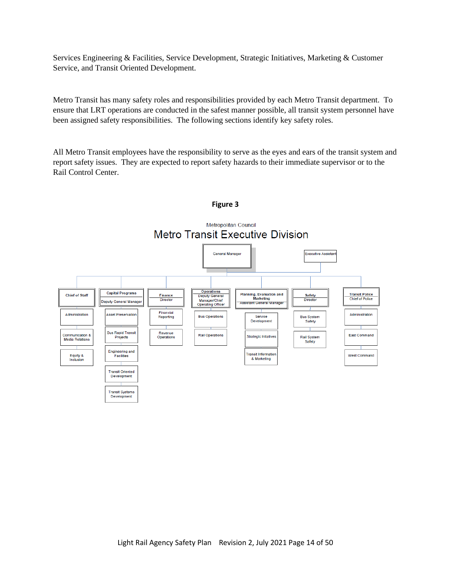Services Engineering & Facilities, Service Development, Strategic Initiatives, Marketing & Customer Service, and Transit Oriented Development.

Metro Transit has many safety roles and responsibilities provided by each Metro Transit department. To ensure that LRT operations are conducted in the safest manner possible, all transit system personnel have been assigned safety responsibilities. The following sections identify key safety roles.

All Metro Transit employees have the responsibility to serve as the eyes and ears of the transit system and report safety issues. They are expected to report safety hazards to their immediate supervisor or to the Rail Control Center.



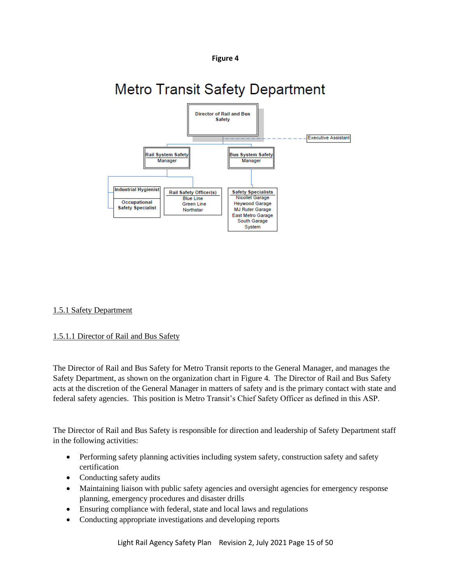

# <span id="page-14-1"></span>**Metro Transit Safety Department**



# <span id="page-14-0"></span>1.5.1 Safety Department

# 1.5.1.1 Director of Rail and Bus Safety

The Director of Rail and Bus Safety for Metro Transit reports to the General Manager, and manages the Safety Department, as shown on the organization chart in Figure 4. The Director of Rail and Bus Safety acts at the discretion of the General Manager in matters of safety and is the primary contact with state and federal safety agencies. This position is Metro Transit's Chief Safety Officer as defined in this ASP.

The Director of Rail and Bus Safety is responsible for direction and leadership of Safety Department staff in the following activities:

- Performing safety planning activities including system safety, construction safety and safety certification
- Conducting safety audits
- Maintaining liaison with public safety agencies and oversight agencies for emergency response planning, emergency procedures and disaster drills
- Ensuring compliance with federal, state and local laws and regulations
- Conducting appropriate investigations and developing reports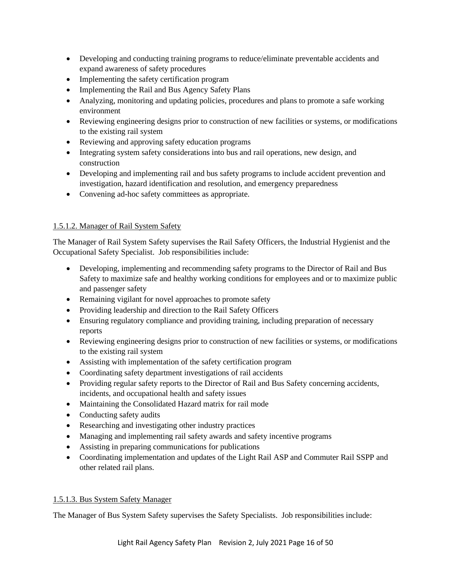- Developing and conducting training programs to reduce/eliminate preventable accidents and expand awareness of safety procedures
- Implementing the safety certification program
- Implementing the Rail and Bus Agency Safety Plans
- Analyzing, monitoring and updating policies, procedures and plans to promote a safe working environment
- Reviewing engineering designs prior to construction of new facilities or systems, or modifications to the existing rail system
- Reviewing and approving safety education programs
- Integrating system safety considerations into bus and rail operations, new design, and construction
- Developing and implementing rail and bus safety programs to include accident prevention and investigation, hazard identification and resolution, and emergency preparedness
- Convening ad-hoc safety committees as appropriate.

# 1.5.1.2. Manager of Rail System Safety

The Manager of Rail System Safety supervises the Rail Safety Officers, the Industrial Hygienist and the Occupational Safety Specialist. Job responsibilities include:

- Developing, implementing and recommending safety programs to the Director of Rail and Bus Safety to maximize safe and healthy working conditions for employees and or to maximize public and passenger safety
- Remaining vigilant for novel approaches to promote safety
- Providing leadership and direction to the Rail Safety Officers
- Ensuring regulatory compliance and providing training, including preparation of necessary reports
- Reviewing engineering designs prior to construction of new facilities or systems, or modifications to the existing rail system
- Assisting with implementation of the safety certification program
- Coordinating safety department investigations of rail accidents
- Providing regular safety reports to the Director of Rail and Bus Safety concerning accidents, incidents, and occupational health and safety issues
- Maintaining the Consolidated Hazard matrix for rail mode
- Conducting safety audits
- Researching and investigating other industry practices
- Managing and implementing rail safety awards and safety incentive programs
- Assisting in preparing communications for publications
- Coordinating implementation and updates of the Light Rail ASP and Commuter Rail SSPP and other related rail plans.

# 1.5.1.3. Bus System Safety Manager

The Manager of Bus System Safety supervises the Safety Specialists. Job responsibilities include: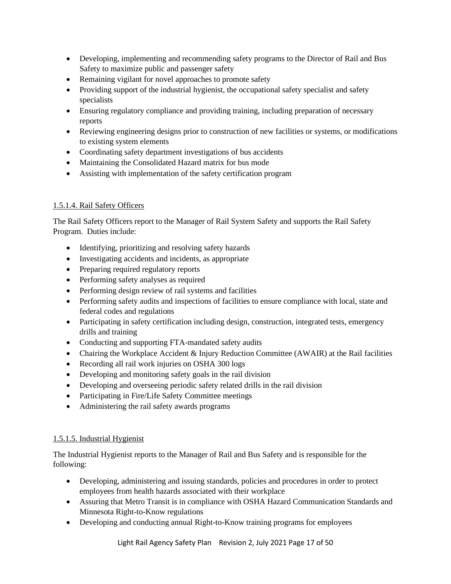- Developing, implementing and recommending safety programs to the Director of Rail and Bus Safety to maximize public and passenger safety
- Remaining vigilant for novel approaches to promote safety
- Providing support of the industrial hygienist, the occupational safety specialist and safety specialists
- Ensuring regulatory compliance and providing training, including preparation of necessary reports
- Reviewing engineering designs prior to construction of new facilities or systems, or modifications to existing system elements
- Coordinating safety department investigations of bus accidents
- Maintaining the Consolidated Hazard matrix for bus mode
- Assisting with implementation of the safety certification program

# 1.5.1.4. Rail Safety Officers

The Rail Safety Officers report to the Manager of Rail System Safety and supports the Rail Safety Program. Duties include:

- Identifying, prioritizing and resolving safety hazards
- Investigating accidents and incidents, as appropriate
- Preparing required regulatory reports
- Performing safety analyses as required
- Performing design review of rail systems and facilities
- Performing safety audits and inspections of facilities to ensure compliance with local, state and federal codes and regulations
- Participating in safety certification including design, construction, integrated tests, emergency drills and training
- Conducting and supporting FTA-mandated safety audits
- Chairing the Workplace Accident & Injury Reduction Committee (AWAIR) at the Rail facilities
- Recording all rail work injuries on OSHA 300 logs
- Developing and monitoring safety goals in the rail division
- Developing and overseeing periodic safety related drills in the rail division
- Participating in Fire/Life Safety Committee meetings
- Administering the rail safety awards programs

# 1.5.1.5. Industrial Hygienist

The Industrial Hygienist reports to the Manager of Rail and Bus Safety and is responsible for the following:

- Developing, administering and issuing standards, policies and procedures in order to protect employees from health hazards associated with their workplace
- Assuring that Metro Transit is in compliance with OSHA Hazard Communication Standards and Minnesota Right-to-Know regulations
- Developing and conducting annual Right-to-Know training programs for employees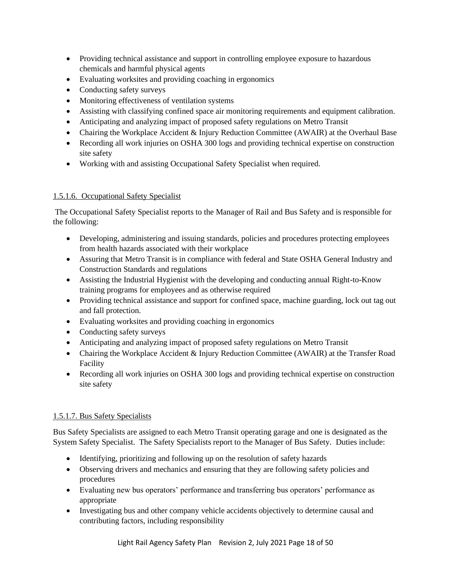- Providing technical assistance and support in controlling employee exposure to hazardous chemicals and harmful physical agents
- Evaluating worksites and providing coaching in ergonomics
- Conducting safety surveys
- Monitoring effectiveness of ventilation systems
- Assisting with classifying confined space air monitoring requirements and equipment calibration.
- Anticipating and analyzing impact of proposed safety regulations on Metro Transit
- Chairing the Workplace Accident & Injury Reduction Committee (AWAIR) at the Overhaul Base
- Recording all work injuries on OSHA 300 logs and providing technical expertise on construction site safety
- Working with and assisting Occupational Safety Specialist when required.

# 1.5.1.6. Occupational Safety Specialist

The Occupational Safety Specialist reports to the Manager of Rail and Bus Safety and is responsible for the following:

- Developing, administering and issuing standards, policies and procedures protecting employees from health hazards associated with their workplace
- Assuring that Metro Transit is in compliance with federal and State OSHA General Industry and Construction Standards and regulations
- Assisting the Industrial Hygienist with the developing and conducting annual Right-to-Know training programs for employees and as otherwise required
- Providing technical assistance and support for confined space, machine guarding, lock out tag out and fall protection.
- Evaluating worksites and providing coaching in ergonomics
- Conducting safety surveys
- Anticipating and analyzing impact of proposed safety regulations on Metro Transit
- Chairing the Workplace Accident & Injury Reduction Committee (AWAIR) at the Transfer Road Facility
- Recording all work injuries on OSHA 300 logs and providing technical expertise on construction site safety

# 1.5.1.7. Bus Safety Specialists

Bus Safety Specialists are assigned to each Metro Transit operating garage and one is designated as the System Safety Specialist. The Safety Specialists report to the Manager of Bus Safety. Duties include:

- Identifying, prioritizing and following up on the resolution of safety hazards
- Observing drivers and mechanics and ensuring that they are following safety policies and procedures
- Evaluating new bus operators' performance and transferring bus operators' performance as appropriate
- Investigating bus and other company vehicle accidents objectively to determine causal and contributing factors, including responsibility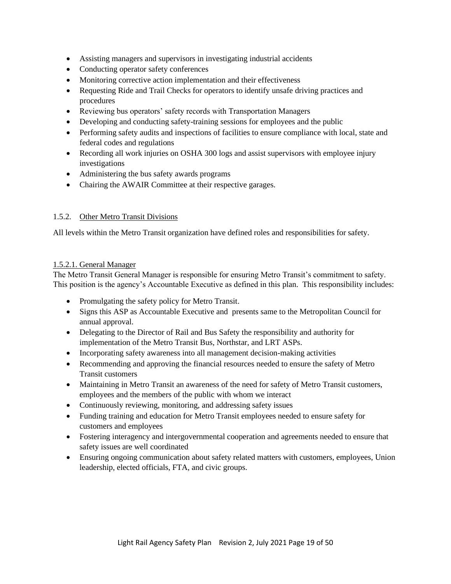- <span id="page-18-1"></span>• Assisting managers and supervisors in investigating industrial accidents
- Conducting operator safety conferences
- Monitoring corrective action implementation and their effectiveness
- Requesting Ride and Trail Checks for operators to identify unsafe driving practices and procedures
- Reviewing bus operators' safety records with Transportation Managers
- Developing and conducting safety-training sessions for employees and the public
- Performing safety audits and inspections of facilities to ensure compliance with local, state and federal codes and regulations
- Recording all work injuries on OSHA 300 logs and assist supervisors with employee injury investigations
- Administering the bus safety awards programs
- Chairing the AWAIR Committee at their respective garages.

#### 1.5.2. Other Metro Transit Divisions

All levels within the Metro Transit organization have defined roles and responsibilities for safety.

#### <span id="page-18-0"></span>1.5.2.1. General Manager

The Metro Transit General Manager is responsible for ensuring Metro Transit's commitment to safety. This position is the agency's Accountable Executive as defined in this plan. This responsibility includes:

- Promulgating the safety policy for Metro Transit.
- Signs this ASP as Accountable Executive and presents same to the Metropolitan Council for annual approval.
- Delegating to the Director of Rail and Bus Safety the responsibility and authority for implementation of the Metro Transit Bus, Northstar, and LRT ASPs.
- Incorporating safety awareness into all management decision-making activities
- Recommending and approving the financial resources needed to ensure the safety of Metro Transit customers
- Maintaining in Metro Transit an awareness of the need for safety of Metro Transit customers, employees and the members of the public with whom we interact
- Continuously reviewing, monitoring, and addressing safety issues
- Funding training and education for Metro Transit employees needed to ensure safety for customers and employees
- Fostering interagency and intergovernmental cooperation and agreements needed to ensure that safety issues are well coordinated
- Ensuring ongoing communication about safety related matters with customers, employees, Union leadership, elected officials, FTA, and civic groups.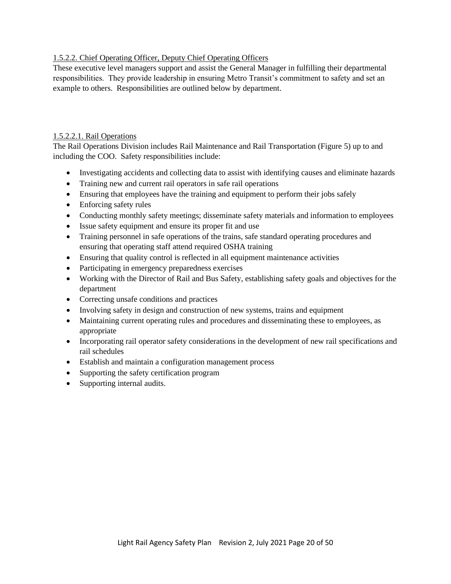# <span id="page-19-2"></span><span id="page-19-0"></span>1.5.2.2. Chief Operating Officer, Deputy Chief Operating Officers

These executive level managers support and assist the General Manager in fulfilling their departmental responsibilities. They provide leadership in ensuring Metro Transit's commitment to safety and set an example to others. Responsibilities are outlined below by department.

#### <span id="page-19-1"></span>1.5.2.2.1. Rail Operations

The Rail Operations Division includes Rail Maintenance and Rail Transportation (Figure 5) up to and including the COO. Safety responsibilities include:

- Investigating accidents and collecting data to assist with identifying causes and eliminate hazards
- Training new and current rail operators in safe rail operations
- Ensuring that employees have the training and equipment to perform their jobs safely
- Enforcing safety rules
- Conducting monthly safety meetings; disseminate safety materials and information to employees
- Issue safety equipment and ensure its proper fit and use
- Training personnel in safe operations of the trains, safe standard operating procedures and ensuring that operating staff attend required OSHA training
- Ensuring that quality control is reflected in all equipment maintenance activities
- Participating in emergency preparedness exercises
- Working with the Director of Rail and Bus Safety, establishing safety goals and objectives for the department
- Correcting unsafe conditions and practices
- Involving safety in design and construction of new systems, trains and equipment
- Maintaining current operating rules and procedures and disseminating these to employees, as appropriate
- Incorporating rail operator safety considerations in the development of new rail specifications and rail schedules
- Establish and maintain a configuration management process
- Supporting the safety certification program
- Supporting internal audits.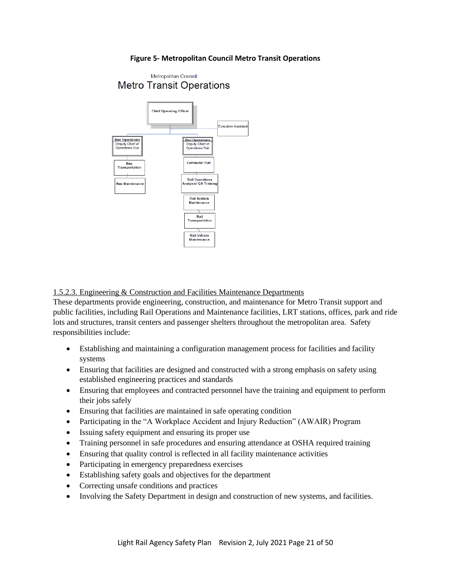#### **Figure 5- Metropolitan Council Metro Transit Operations**

<span id="page-20-1"></span>

<span id="page-20-0"></span>1.5.2.3. Engineering & Construction and Facilities Maintenance Departments

These departments provide engineering, construction, and maintenance for Metro Transit support and public facilities, including Rail Operations and Maintenance facilities, LRT stations, offices, park and ride lots and structures, transit centers and passenger shelters throughout the metropolitan area. Safety responsibilities include:

- Establishing and maintaining a configuration management process for facilities and facility systems
- Ensuring that facilities are designed and constructed with a strong emphasis on safety using established engineering practices and standards
- Ensuring that employees and contracted personnel have the training and equipment to perform their jobs safely
- Ensuring that facilities are maintained in safe operating condition
- Participating in the "A Workplace Accident and Injury Reduction" (AWAIR) Program
- Issuing safety equipment and ensuring its proper use
- Training personnel in safe procedures and ensuring attendance at OSHA required training
- Ensuring that quality control is reflected in all facility maintenance activities
- Participating in emergency preparedness exercises
- Establishing safety goals and objectives for the department
- Correcting unsafe conditions and practices
- Involving the Safety Department in design and construction of new systems, and facilities.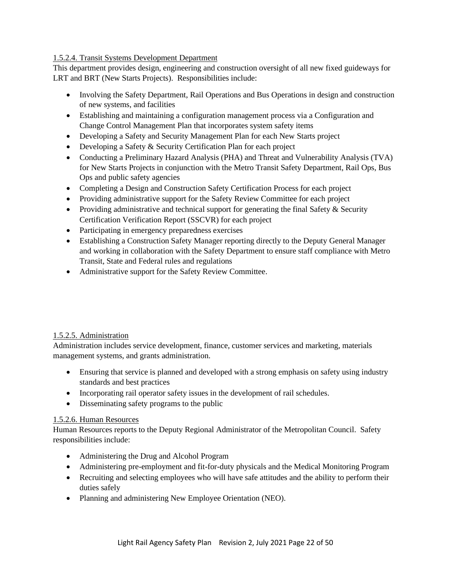### <span id="page-21-3"></span><span id="page-21-0"></span>1.5.2.4. Transit Systems Development Department

This department provides design, engineering and construction oversight of all new fixed guideways for LRT and BRT (New Starts Projects). Responsibilities include:

- Involving the Safety Department, Rail Operations and Bus Operations in design and construction of new systems, and facilities
- Establishing and maintaining a configuration management process via a Configuration and Change Control Management Plan that incorporates system safety items
- Developing a Safety and Security Management Plan for each New Starts project
- Developing a Safety & Security Certification Plan for each project
- Conducting a Preliminary Hazard Analysis (PHA) and Threat and Vulnerability Analysis (TVA) for New Starts Projects in conjunction with the Metro Transit Safety Department, Rail Ops, Bus Ops and public safety agencies
- Completing a Design and Construction Safety Certification Process for each project
- Providing administrative support for the Safety Review Committee for each project
- Providing administrative and technical support for generating the final Safety  $\&$  Security Certification Verification Report (SSCVR) for each project
- Participating in emergency preparedness exercises
- Establishing a Construction Safety Manager reporting directly to the Deputy General Manager and working in collaboration with the Safety Department to ensure staff compliance with Metro Transit, State and Federal rules and regulations
- Administrative support for the Safety Review Committee.

# <span id="page-21-1"></span>1.5.2.5. Administration

Administration includes service development, finance, customer services and marketing, materials management systems, and grants administration.

- Ensuring that service is planned and developed with a strong emphasis on safety using industry standards and best practices
- Incorporating rail operator safety issues in the development of rail schedules.
- Disseminating safety programs to the public

# <span id="page-21-2"></span>1.5.2.6. Human Resources

Human Resources reports to the Deputy Regional Administrator of the Metropolitan Council. Safety responsibilities include:

- Administering the Drug and Alcohol Program
- Administering pre-employment and fit-for-duty physicals and the Medical Monitoring Program
- Recruiting and selecting employees who will have safe attitudes and the ability to perform their duties safely
- Planning and administering New Employee Orientation (NEO).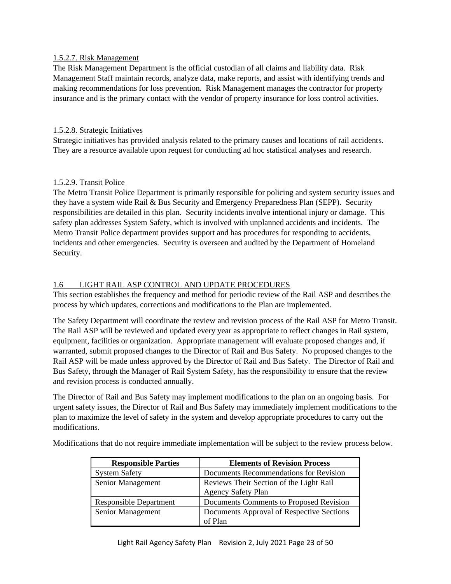#### <span id="page-22-4"></span><span id="page-22-0"></span>1.5.2.7. Risk Management

The Risk Management Department is the official custodian of all claims and liability data. Risk Management Staff maintain records, analyze data, make reports, and assist with identifying trends and making recommendations for loss prevention. Risk Management manages the contractor for property insurance and is the primary contact with the vendor of property insurance for loss control activities.

### <span id="page-22-1"></span>1.5.2.8. Strategic Initiatives

Strategic initiatives has provided analysis related to the primary causes and locations of rail accidents. They are a resource available upon request for conducting ad hoc statistical analyses and research.

#### <span id="page-22-2"></span>1.5.2.9. Transit Police

The Metro Transit Police Department is primarily responsible for policing and system security issues and they have a system wide Rail & Bus Security and Emergency Preparedness Plan (SEPP). Security responsibilities are detailed in this plan. Security incidents involve intentional injury or damage. This safety plan addresses System Safety, which is involved with unplanned accidents and incidents. The Metro Transit Police department provides support and has procedures for responding to accidents, incidents and other emergencies. Security is overseen and audited by the Department of Homeland Security.

#### <span id="page-22-3"></span>1.6 LIGHT RAIL ASP CONTROL AND UPDATE PROCEDURES

This section establishes the frequency and method for periodic review of the Rail ASP and describes the process by which updates, corrections and modifications to the Plan are implemented.

The Safety Department will coordinate the review and revision process of the Rail ASP for Metro Transit. The Rail ASP will be reviewed and updated every year as appropriate to reflect changes in Rail system, equipment, facilities or organization. Appropriate management will evaluate proposed changes and, if warranted, submit proposed changes to the Director of Rail and Bus Safety. No proposed changes to the Rail ASP will be made unless approved by the Director of Rail and Bus Safety. The Director of Rail and Bus Safety, through the Manager of Rail System Safety, has the responsibility to ensure that the review and revision process is conducted annually.

The Director of Rail and Bus Safety may implement modifications to the plan on an ongoing basis. For urgent safety issues, the Director of Rail and Bus Safety may immediately implement modifications to the plan to maximize the level of safety in the system and develop appropriate procedures to carry out the modifications.

Modifications that do not require immediate implementation will be subject to the review process below.

| <b>Responsible Parties</b>    | <b>Elements of Revision Process</b>       |
|-------------------------------|-------------------------------------------|
| <b>System Safety</b>          | Documents Recommendations for Revision    |
| Senior Management             | Reviews Their Section of the Light Rail   |
|                               | <b>Agency Safety Plan</b>                 |
| <b>Responsible Department</b> | Documents Comments to Proposed Revision   |
| Senior Management             | Documents Approval of Respective Sections |
|                               | of Plan                                   |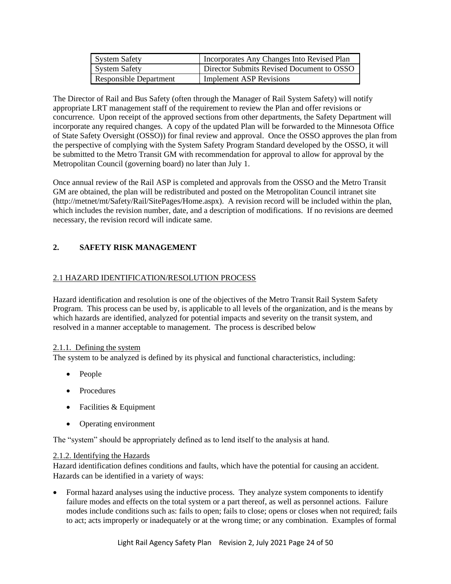<span id="page-23-4"></span>

| <b>System Safety</b>          | Incorporates Any Changes Into Revised Plan |
|-------------------------------|--------------------------------------------|
| <b>System Safety</b>          | Director Submits Revised Document to OSSO  |
| <b>Responsible Department</b> | <b>Implement ASP Revisions</b>             |

The Director of Rail and Bus Safety (often through the Manager of Rail System Safety) will notify appropriate LRT management staff of the requirement to review the Plan and offer revisions or concurrence. Upon receipt of the approved sections from other departments, the Safety Department will incorporate any required changes. A copy of the updated Plan will be forwarded to the Minnesota Office of State Safety Oversight (OSSO)) for final review and approval. Once the OSSO approves the plan from the perspective of complying with the System Safety Program Standard developed by the OSSO, it will be submitted to the Metro Transit GM with recommendation for approval to allow for approval by the Metropolitan Council (governing board) no later than July 1.

Once annual review of the Rail ASP is completed and approvals from the OSSO and the Metro Transit GM are obtained, the plan will be redistributed and posted on the Metropolitan Council intranet site (http://metnet/mt/Safety/Rail/SitePages/Home.aspx). A revision record will be included within the plan, which includes the revision number, date, and a description of modifications. If no revisions are deemed necessary, the revision record will indicate same.

# <span id="page-23-0"></span>**2. SAFETY RISK MANAGEMENT**

# <span id="page-23-1"></span>2.1 HAZARD IDENTIFICATION/RESOLUTION PROCESS

Hazard identification and resolution is one of the objectives of the Metro Transit Rail System Safety Program. This process can be used by, is applicable to all levels of the organization, and is the means by which hazards are identified, analyzed for potential impacts and severity on the transit system, and resolved in a manner acceptable to management. The process is described below

#### <span id="page-23-2"></span>2.1.1. Defining the system

The system to be analyzed is defined by its physical and functional characteristics, including:

- People
- Procedures
- Facilities & Equipment
- Operating environment

The "system" should be appropriately defined as to lend itself to the analysis at hand.

#### <span id="page-23-3"></span>2.1.2. Identifying the Hazards

Hazard identification defines conditions and faults, which have the potential for causing an accident. Hazards can be identified in a variety of ways:

• Formal hazard analyses using the inductive process. They analyze system components to identify failure modes and effects on the total system or a part thereof, as well as personnel actions. Failure modes include conditions such as: fails to open; fails to close; opens or closes when not required; fails to act; acts improperly or inadequately or at the wrong time; or any combination. Examples of formal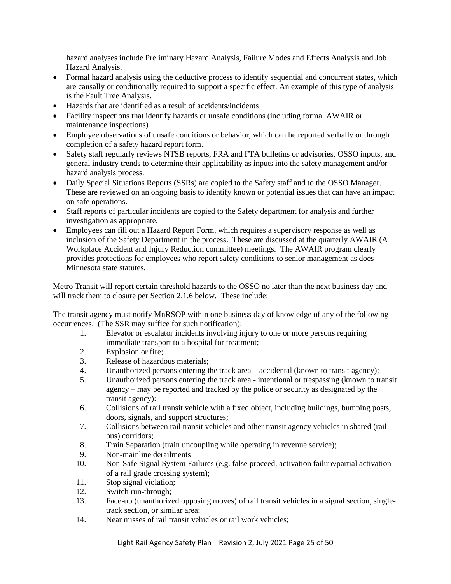hazard analyses include Preliminary Hazard Analysis, Failure Modes and Effects Analysis and Job Hazard Analysis.

- Formal hazard analysis using the deductive process to identify sequential and concurrent states, which are causally or conditionally required to support a specific effect. An example of this type of analysis is the Fault Tree Analysis.
- Hazards that are identified as a result of accidents/incidents
- Facility inspections that identify hazards or unsafe conditions (including formal AWAIR or maintenance inspections)
- Employee observations of unsafe conditions or behavior, which can be reported verbally or through completion of a safety hazard report form.
- Safety staff regularly reviews NTSB reports, FRA and FTA bulletins or advisories, OSSO inputs, and general industry trends to determine their applicability as inputs into the safety management and/or hazard analysis process.
- Daily Special Situations Reports (SSRs) are copied to the Safety staff and to the OSSO Manager. These are reviewed on an ongoing basis to identify known or potential issues that can have an impact on safe operations.
- Staff reports of particular incidents are copied to the Safety department for analysis and further investigation as appropriate.
- Employees can fill out a Hazard Report Form, which requires a supervisory response as well as inclusion of the Safety Department in the process. These are discussed at the quarterly AWAIR (A Workplace Accident and Injury Reduction committee) meetings. The AWAIR program clearly provides protections for employees who report safety conditions to senior management as does Minnesota state statutes.

Metro Transit will report certain threshold hazards to the OSSO no later than the next business day and will track them to closure per Section 2.1.6 below. These include:

The transit agency must notify MnRSOP within one business day of knowledge of any of the following occurrences. (The SSR may suffice for such notification):

- 1. Elevator or escalator incidents involving injury to one or more persons requiring immediate transport to a hospital for treatment;
- 2. Explosion or fire;
- 3. Release of hazardous materials;
- 4. Unauthorized persons entering the track area accidental (known to transit agency);
- 5. Unauthorized persons entering the track area intentional or trespassing (known to transit agency – may be reported and tracked by the police or security as designated by the transit agency):
- 6. Collisions of rail transit vehicle with a fixed object, including buildings, bumping posts, doors, signals, and support structures;
- 7. Collisions between rail transit vehicles and other transit agency vehicles in shared (railbus) corridors;
- 8. Train Separation (train uncoupling while operating in revenue service);
- 9. Non-mainline derailments
- 10. Non-Safe Signal System Failures (e.g. false proceed, activation failure/partial activation of a rail grade crossing system);
- 11. Stop signal violation;
- 12. Switch run-through;
- 13. Face-up (unauthorized opposing moves) of rail transit vehicles in a signal section, singletrack section, or similar area;
- 14. Near misses of rail transit vehicles or rail work vehicles;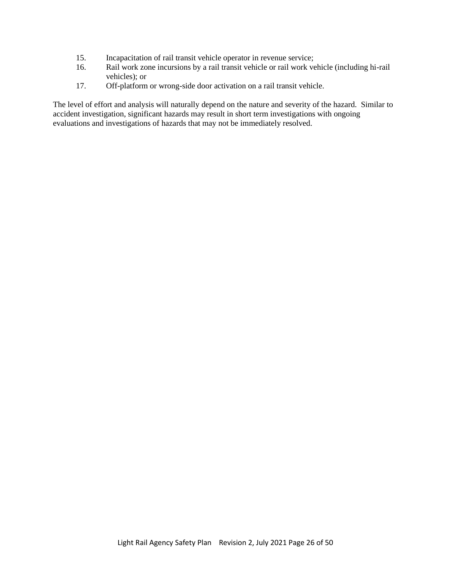- 15. Incapacitation of rail transit vehicle operator in revenue service;
- 16. Rail work zone incursions by a rail transit vehicle or rail work vehicle (including hi-rail vehicles); or
- 17. Off-platform or wrong-side door activation on a rail transit vehicle.

The level of effort and analysis will naturally depend on the nature and severity of the hazard. Similar to accident investigation, significant hazards may result in short term investigations with ongoing evaluations and investigations of hazards that may not be immediately resolved.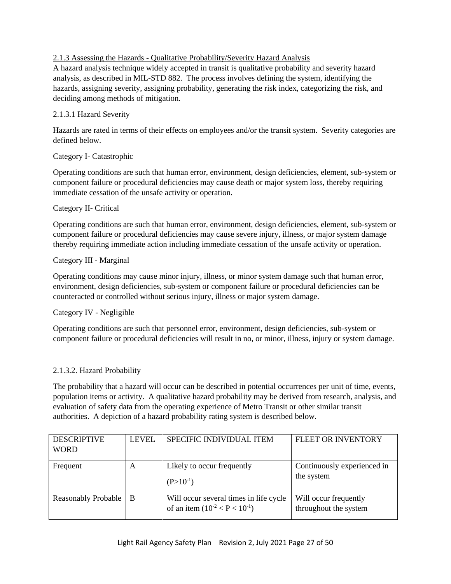# <span id="page-26-1"></span><span id="page-26-0"></span>2.1.3 Assessing the Hazards - Qualitative Probability/Severity Hazard Analysis

A hazard analysis technique widely accepted in transit is qualitative probability and severity hazard analysis, as described in MIL-STD 882. The process involves defining the system, identifying the hazards, assigning severity, assigning probability, generating the risk index, categorizing the risk, and deciding among methods of mitigation.

### 2.1.3.1 Hazard Severity

Hazards are rated in terms of their effects on employees and/or the transit system. Severity categories are defined below.

#### Category I- Catastrophic

Operating conditions are such that human error, environment, design deficiencies, element, sub-system or component failure or procedural deficiencies may cause death or major system loss, thereby requiring immediate cessation of the unsafe activity or operation.

#### Category II- Critical

Operating conditions are such that human error, environment, design deficiencies, element, sub-system or component failure or procedural deficiencies may cause severe injury, illness, or major system damage thereby requiring immediate action including immediate cessation of the unsafe activity or operation.

#### Category III - Marginal

Operating conditions may cause minor injury, illness, or minor system damage such that human error, environment, design deficiencies, sub-system or component failure or procedural deficiencies can be counteracted or controlled without serious injury, illness or major system damage.

# Category IV - Negligible

Operating conditions are such that personnel error, environment, design deficiencies, sub-system or component failure or procedural deficiencies will result in no, or minor, illness, injury or system damage.

# 2.1.3.2. Hazard Probability

The probability that a hazard will occur can be described in potential occurrences per unit of time, events, population items or activity. A qualitative hazard probability may be derived from research, analysis, and evaluation of safety data from the operating experience of Metro Transit or other similar transit authorities. A depiction of a hazard probability rating system is described below.

| <b>DESCRIPTIVE</b><br><b>WORD</b> | <b>LEVEL</b> | <b>SPECIFIC INDIVIDUAL ITEM</b>                                                | <b>FLEET OR INVENTORY</b>                      |
|-----------------------------------|--------------|--------------------------------------------------------------------------------|------------------------------------------------|
| Frequent                          | A            | Likely to occur frequently<br>$(P>10^{-1})$                                    | Continuously experienced in<br>the system      |
| <b>Reasonably Probable</b>        | B            | Will occur several times in life cycle<br>of an item $(10^{-2} < P < 10^{-1})$ | Will occur frequently<br>throughout the system |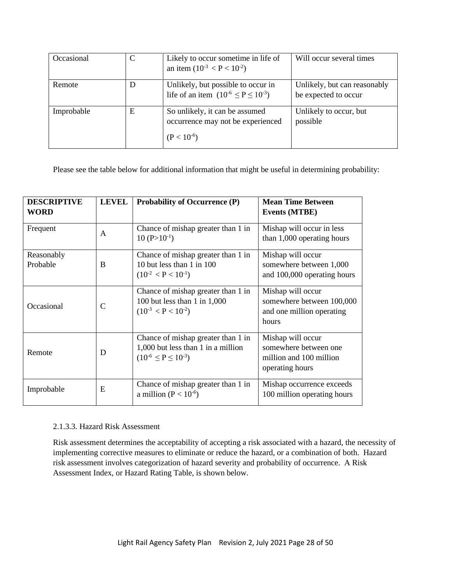| Occasional |   | Likely to occur sometime in life of<br>an item $(10^{-3} < P < 10^{-2})$               | Will occur several times                             |
|------------|---|----------------------------------------------------------------------------------------|------------------------------------------------------|
| Remote     | D | Unlikely, but possible to occur in<br>life of an item $(10^{-6} \le P \le 10^{-3})$    | Unlikely, but can reasonably<br>be expected to occur |
| Improbable | E | So unlikely, it can be assumed<br>occurrence may not be experienced<br>$(P < 10^{-6})$ | Unlikely to occur, but<br>possible                   |

Please see the table below for additional information that might be useful in determining probability:

| <b>DESCRIPTIVE</b><br><b>LEVEL</b><br><b>WORD</b> |               | <b>Probability of Occurrence (P)</b>                                                                      | <b>Mean Time Between</b><br><b>Events (MTBE)</b>                                         |
|---------------------------------------------------|---------------|-----------------------------------------------------------------------------------------------------------|------------------------------------------------------------------------------------------|
| Frequent<br>A                                     |               | Chance of mishap greater than 1 in<br>$10 (P > 10^{-1})$                                                  | Mishap will occur in less<br>than 1,000 operating hours                                  |
| Reasonably<br>Probable<br>B                       |               | Chance of mishap greater than 1 in<br>10 but less than 1 in 100<br>$(10^{-2} < P < 10^{-1})$              | Mishap will occur<br>somewhere between 1,000<br>and 100,000 operating hours              |
| Occasional                                        | $\mathcal{C}$ | Chance of mishap greater than 1 in<br>100 but less than 1 in $1,000$<br>$(10^{-3} < P < 10^{-2})$         | Mishap will occur<br>somewhere between 100,000<br>and one million operating<br>hours     |
| Remote                                            | D             | Chance of mishap greater than 1 in<br>1,000 but less than 1 in a million<br>$(10^{-6} \le P \le 10^{-3})$ | Mishap will occur<br>somewhere between one<br>million and 100 million<br>operating hours |
| Improbable                                        | E             | Chance of mishap greater than 1 in<br>a million ( $P < 10^{-6}$ )                                         | Mishap occurrence exceeds<br>100 million operating hours                                 |

#### 2.1.3.3. Hazard Risk Assessment

Risk assessment determines the acceptability of accepting a risk associated with a hazard, the necessity of implementing corrective measures to eliminate or reduce the hazard, or a combination of both. Hazard risk assessment involves categorization of hazard severity and probability of occurrence. A Risk Assessment Index, or Hazard Rating Table, is shown below.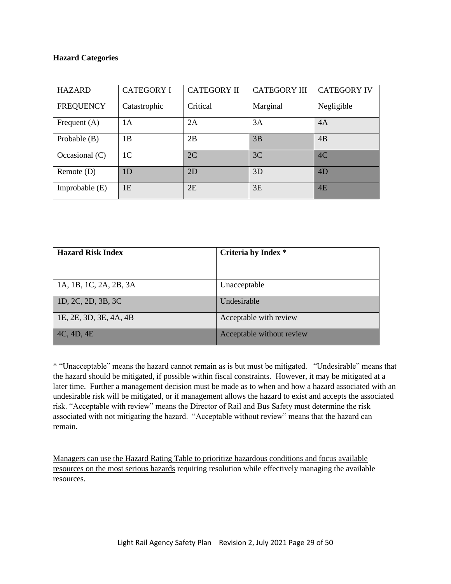#### **Hazard Categories**

| <b>HAZARD</b>    | <b>CATEGORY I</b> | <b>CATEGORY II</b> | <b>CATEGORY III</b> | <b>CATEGORY IV</b> |
|------------------|-------------------|--------------------|---------------------|--------------------|
| <b>FREQUENCY</b> | Catastrophic      | Critical           | Marginal            | Negligible         |
| Frequent $(A)$   | 1 A               | 2A                 | 3A                  | 4A                 |
| Probable $(B)$   | 1B                | 2B                 | 3B                  | 4B                 |
| Occasional $(C)$ | 1 <sup>C</sup>    | 2C                 | 3C                  | 4C                 |
| Remote $(D)$     | 1D                | 2D                 | 3D                  | 4 <sub>D</sub>     |
| Improbable $(E)$ | 1E                | 2E                 | 3E                  | 4E                 |

| <b>Hazard Risk Index</b> | Criteria by Index *       |
|--------------------------|---------------------------|
|                          |                           |
|                          |                           |
| 1A, 1B, 1C, 2A, 2B, 3A   | Unacceptable              |
| 1D, 2C, 2D, 3B, 3C       | Undesirable               |
| 1E, 2E, 3D, 3E, 4A, 4B   | Acceptable with review    |
| 4C, 4D, 4E               | Acceptable without review |

\* "Unacceptable" means the hazard cannot remain as is but must be mitigated. "Undesirable" means that the hazard should be mitigated, if possible within fiscal constraints. However, it may be mitigated at a later time. Further a management decision must be made as to when and how a hazard associated with an undesirable risk will be mitigated, or if management allows the hazard to exist and accepts the associated risk. "Acceptable with review" means the Director of Rail and Bus Safety must determine the risk associated with not mitigating the hazard. "Acceptable without review" means that the hazard can remain.

Managers can use the Hazard Rating Table to prioritize hazardous conditions and focus available resources on the most serious hazards requiring resolution while effectively managing the available resources.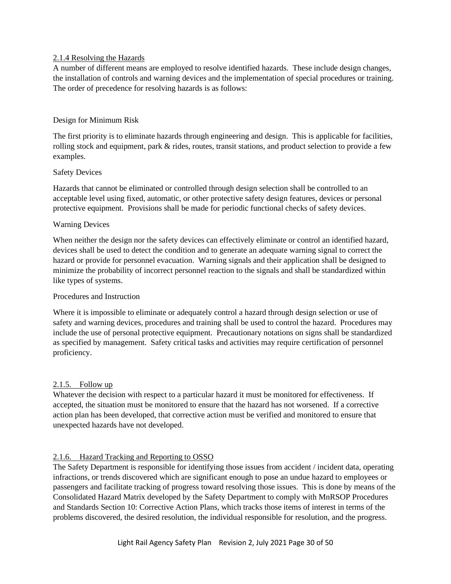#### <span id="page-29-3"></span><span id="page-29-0"></span>2.1.4 Resolving the Hazards

A number of different means are employed to resolve identified hazards. These include design changes, the installation of controls and warning devices and the implementation of special procedures or training. The order of precedence for resolving hazards is as follows:

#### Design for Minimum Risk

The first priority is to eliminate hazards through engineering and design. This is applicable for facilities, rolling stock and equipment, park & rides, routes, transit stations, and product selection to provide a few examples.

#### Safety Devices

Hazards that cannot be eliminated or controlled through design selection shall be controlled to an acceptable level using fixed, automatic, or other protective safety design features, devices or personal protective equipment. Provisions shall be made for periodic functional checks of safety devices.

#### Warning Devices

When neither the design nor the safety devices can effectively eliminate or control an identified hazard, devices shall be used to detect the condition and to generate an adequate warning signal to correct the hazard or provide for personnel evacuation. Warning signals and their application shall be designed to minimize the probability of incorrect personnel reaction to the signals and shall be standardized within like types of systems.

#### Procedures and Instruction

Where it is impossible to eliminate or adequately control a hazard through design selection or use of safety and warning devices, procedures and training shall be used to control the hazard. Procedures may include the use of personal protective equipment. Precautionary notations on signs shall be standardized as specified by management. Safety critical tasks and activities may require certification of personnel proficiency.

#### <span id="page-29-1"></span>2.1.5. Follow up

Whatever the decision with respect to a particular hazard it must be monitored for effectiveness. If accepted, the situation must be monitored to ensure that the hazard has not worsened. If a corrective action plan has been developed, that corrective action must be verified and monitored to ensure that unexpected hazards have not developed.

# <span id="page-29-2"></span>2.1.6. Hazard Tracking and Reporting to OSSO

The Safety Department is responsible for identifying those issues from accident / incident data, operating infractions, or trends discovered which are significant enough to pose an undue hazard to employees or passengers and facilitate tracking of progress toward resolving those issues. This is done by means of the Consolidated Hazard Matrix developed by the Safety Department to comply with MnRSOP Procedures and Standards Section 10: Corrective Action Plans, which tracks those items of interest in terms of the problems discovered, the desired resolution, the individual responsible for resolution, and the progress.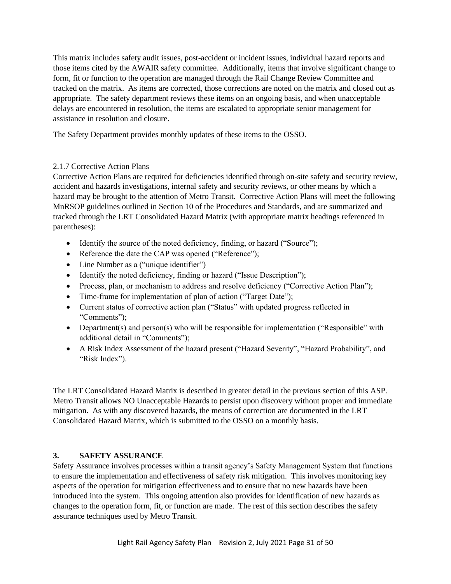<span id="page-30-2"></span>This matrix includes safety audit issues, post-accident or incident issues, individual hazard reports and those items cited by the AWAIR safety committee. Additionally, items that involve significant change to form, fit or function to the operation are managed through the Rail Change Review Committee and tracked on the matrix. As items are corrected, those corrections are noted on the matrix and closed out as appropriate. The safety department reviews these items on an ongoing basis, and when unacceptable delays are encountered in resolution, the items are escalated to appropriate senior management for assistance in resolution and closure.

The Safety Department provides monthly updates of these items to the OSSO.

#### <span id="page-30-0"></span>2.1.7 Corrective Action Plans

Corrective Action Plans are required for deficiencies identified through on-site safety and security review, accident and hazards investigations, internal safety and security reviews, or other means by which a hazard may be brought to the attention of Metro Transit. Corrective Action Plans will meet the following MnRSOP guidelines outlined in Section 10 of the Procedures and Standards, and are summarized and tracked through the LRT Consolidated Hazard Matrix (with appropriate matrix headings referenced in parentheses):

- Identify the source of the noted deficiency, finding, or hazard ("Source");
- Reference the date the CAP was opened ("Reference");
- Line Number as a ("unique identifier")
- Identify the noted deficiency, finding or hazard ("Issue Description");
- Process, plan, or mechanism to address and resolve deficiency ("Corrective Action Plan");
- Time-frame for implementation of plan of action ("Target Date");
- Current status of corrective action plan ("Status" with updated progress reflected in "Comments");
- Department(s) and person(s) who will be responsible for implementation ("Responsible" with additional detail in "Comments");
- A Risk Index Assessment of the hazard present ("Hazard Severity", "Hazard Probability", and "Risk Index").

The LRT Consolidated Hazard Matrix is described in greater detail in the previous section of this ASP. Metro Transit allows NO Unacceptable Hazards to persist upon discovery without proper and immediate mitigation. As with any discovered hazards, the means of correction are documented in the LRT Consolidated Hazard Matrix, which is submitted to the OSSO on a monthly basis.

# <span id="page-30-1"></span>**3. SAFETY ASSURANCE**

Safety Assurance involves processes within a transit agency's Safety Management System that functions to ensure the implementation and effectiveness of safety risk mitigation. This involves monitoring key aspects of the operation for mitigation effectiveness and to ensure that no new hazards have been introduced into the system. This ongoing attention also provides for identification of new hazards as changes to the operation form, fit, or function are made. The rest of this section describes the safety assurance techniques used by Metro Transit.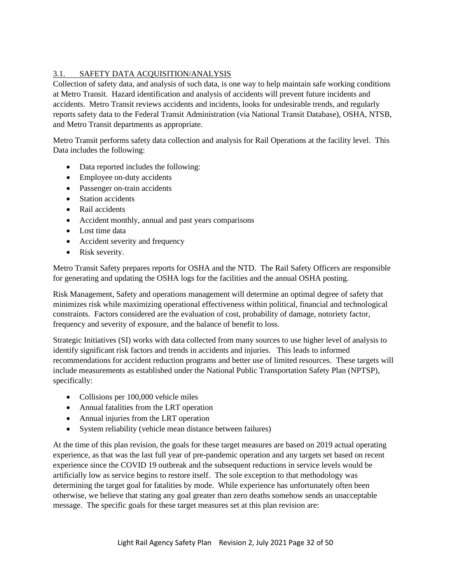# <span id="page-31-1"></span><span id="page-31-0"></span>3.1. SAFETY DATA ACQUISITION/ANALYSIS

Collection of safety data, and analysis of such data, is one way to help maintain safe working conditions at Metro Transit. Hazard identification and analysis of accidents will prevent future incidents and accidents. Metro Transit reviews accidents and incidents, looks for undesirable trends, and regularly reports safety data to the Federal Transit Administration (via National Transit Database), OSHA, NTSB, and Metro Transit departments as appropriate.

Metro Transit performs safety data collection and analysis for Rail Operations at the facility level. This Data includes the following:

- Data reported includes the following:
- Employee on-duty accidents
- Passenger on-train accidents
- Station accidents
- Rail accidents
- Accident monthly, annual and past years comparisons
- Lost time data
- Accident severity and frequency
- Risk severity.

Metro Transit Safety prepares reports for OSHA and the NTD. The Rail Safety Officers are responsible for generating and updating the OSHA logs for the facilities and the annual OSHA posting.

Risk Management, Safety and operations management will determine an optimal degree of safety that minimizes risk while maximizing operational effectiveness within political, financial and technological constraints. Factors considered are the evaluation of cost, probability of damage, notoriety factor, frequency and severity of exposure, and the balance of benefit to loss.

Strategic Initiatives (SI) works with data collected from many sources to use higher level of analysis to identify significant risk factors and trends in accidents and injuries. This leads to informed recommendations for accident reduction programs and better use of limited resources. These targets will include measurements as established under the National Public Transportation Safety Plan (NPTSP), specifically:

- Collisions per 100,000 vehicle miles
- Annual fatalities from the LRT operation
- Annual injuries from the LRT operation
- System reliability (vehicle mean distance between failures)

At the time of this plan revision, the goals for these target measures are based on 2019 actual operating experience, as that was the last full year of pre-pandemic operation and any targets set based on recent experience since the COVID 19 outbreak and the subsequent reductions in service levels would be artificially low as service begins to restore itself. The sole exception to that methodology was determining the target goal for fatalities by mode. While experience has unfortunately often been otherwise, we believe that stating any goal greater than zero deaths somehow sends an unacceptable message. The specific goals for these target measures set at this plan revision are: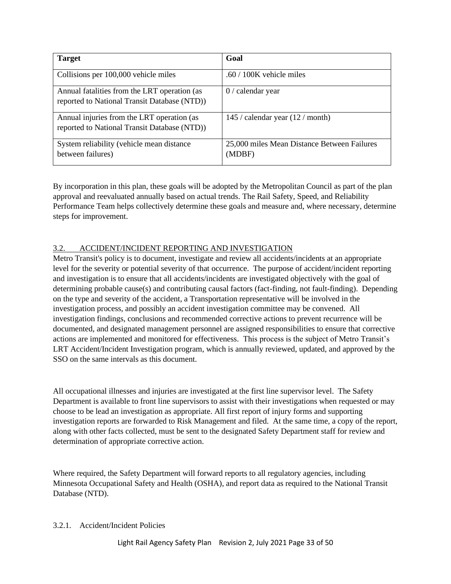<span id="page-32-1"></span>

| <b>Target</b>                                                                                | Goal                                                  |
|----------------------------------------------------------------------------------------------|-------------------------------------------------------|
| Collisions per 100,000 vehicle miles                                                         | .60 / 100K vehicle miles                              |
| Annual fatalities from the LRT operation (as<br>reported to National Transit Database (NTD)) | $0/$ calendar year                                    |
| Annual injuries from the LRT operation (as<br>reported to National Transit Database (NTD))   | 145 / calendar year $(12 / \text{month})$             |
| System reliability (vehicle mean distance<br>between failures)                               | 25,000 miles Mean Distance Between Failures<br>(MDBF) |

By incorporation in this plan, these goals will be adopted by the Metropolitan Council as part of the plan approval and reevaluated annually based on actual trends. The Rail Safety, Speed, and Reliability Performance Team helps collectively determine these goals and measure and, where necessary, determine steps for improvement.

# <span id="page-32-0"></span>3.2. ACCIDENT/INCIDENT REPORTING AND INVESTIGATION

Metro Transit's policy is to document, investigate and review all accidents/incidents at an appropriate level for the severity or potential severity of that occurrence. The purpose of accident/incident reporting and investigation is to ensure that all accidents/incidents are investigated objectively with the goal of determining probable cause(s) and contributing causal factors (fact-finding, not fault-finding). Depending on the type and severity of the accident, a Transportation representative will be involved in the investigation process, and possibly an accident investigation committee may be convened. All investigation findings, conclusions and recommended corrective actions to prevent recurrence will be documented, and designated management personnel are assigned responsibilities to ensure that corrective actions are implemented and monitored for effectiveness. This process is the subject of Metro Transit's LRT Accident/Incident Investigation program, which is annually reviewed, updated, and approved by the SSO on the same intervals as this document.

All occupational illnesses and injuries are investigated at the first line supervisor level. The Safety Department is available to front line supervisors to assist with their investigations when requested or may choose to be lead an investigation as appropriate. All first report of injury forms and supporting investigation reports are forwarded to Risk Management and filed. At the same time, a copy of the report, along with other facts collected, must be sent to the designated Safety Department staff for review and determination of appropriate corrective action.

Where required, the Safety Department will forward reports to all regulatory agencies, including Minnesota Occupational Safety and Health (OSHA), and report data as required to the National Transit Database (NTD).

# 3.2.1. Accident/Incident Policies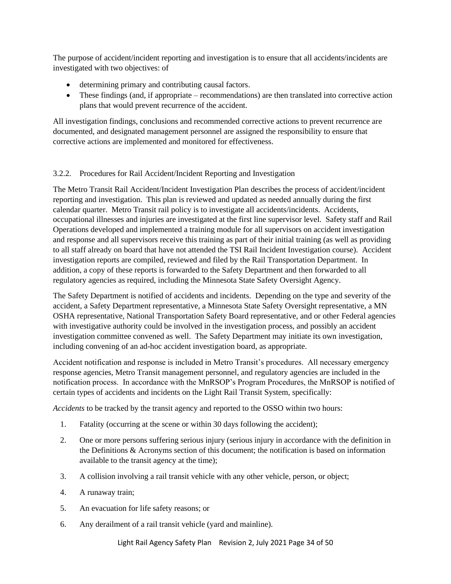The purpose of accident/incident reporting and investigation is to ensure that all accidents/incidents are investigated with two objectives: of

- determining primary and contributing causal factors.
- These findings (and, if appropriate recommendations) are then translated into corrective action plans that would prevent recurrence of the accident.

All investigation findings, conclusions and recommended corrective actions to prevent recurrence are documented, and designated management personnel are assigned the responsibility to ensure that corrective actions are implemented and monitored for effectiveness.

#### 3.2.2. Procedures for Rail Accident/Incident Reporting and Investigation

The Metro Transit Rail Accident/Incident Investigation Plan describes the process of accident/incident reporting and investigation. This plan is reviewed and updated as needed annually during the first calendar quarter. Metro Transit rail policy is to investigate all accidents/incidents. Accidents, occupational illnesses and injuries are investigated at the first line supervisor level. Safety staff and Rail Operations developed and implemented a training module for all supervisors on accident investigation and response and all supervisors receive this training as part of their initial training (as well as providing to all staff already on board that have not attended the TSI Rail Incident Investigation course). Accident investigation reports are compiled, reviewed and filed by the Rail Transportation Department. In addition, a copy of these reports is forwarded to the Safety Department and then forwarded to all regulatory agencies as required, including the Minnesota State Safety Oversight Agency.

The Safety Department is notified of accidents and incidents. Depending on the type and severity of the accident, a Safety Department representative, a Minnesota State Safety Oversight representative, a MN OSHA representative, National Transportation Safety Board representative, and or other Federal agencies with investigative authority could be involved in the investigation process, and possibly an accident investigation committee convened as well. The Safety Department may initiate its own investigation, including convening of an ad-hoc accident investigation board, as appropriate.

Accident notification and response is included in Metro Transit's procedures. All necessary emergency response agencies, Metro Transit management personnel, and regulatory agencies are included in the notification process. In accordance with the MnRSOP's Program Procedures, the MnRSOP is notified of certain types of accidents and incidents on the Light Rail Transit System, specifically:

*Accidents* to be tracked by the transit agency and reported to the OSSO within two hours:

- 1. Fatality (occurring at the scene or within 30 days following the accident);
- 2. One or more persons suffering serious injury (serious injury in accordance with the definition in the Definitions & Acronyms section of this document; the notification is based on information available to the transit agency at the time);
- 3. A collision involving a rail transit vehicle with any other vehicle, person, or object;
- 4. A runaway train;
- 5. An evacuation for life safety reasons; or
- 6. Any derailment of a rail transit vehicle (yard and mainline).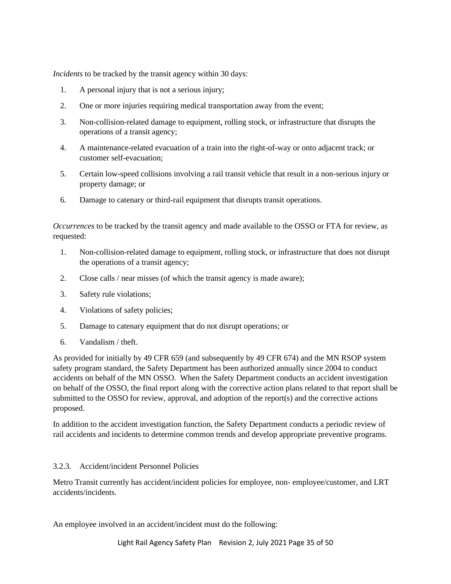*Incidents* to be tracked by the transit agency within 30 days:

- 1. A personal injury that is not a serious injury;
- 2. One or more injuries requiring medical transportation away from the event;
- 3. Non-collision-related damage to equipment, rolling stock, or infrastructure that disrupts the operations of a transit agency;
- 4. A maintenance-related evacuation of a train into the right-of-way or onto adjacent track; or customer self-evacuation;
- 5. Certain low-speed collisions involving a rail transit vehicle that result in a non-serious injury or property damage; or
- 6. Damage to catenary or third-rail equipment that disrupts transit operations.

*Occurrences* to be tracked by the transit agency and made available to the OSSO or FTA for review, as requested:

- 1. Non-collision-related damage to equipment, rolling stock, or infrastructure that does not disrupt the operations of a transit agency;
- 2. Close calls / near misses (of which the transit agency is made aware);
- 3. Safety rule violations;
- 4. Violations of safety policies;
- 5. Damage to catenary equipment that do not disrupt operations; or
- 6. Vandalism / theft.

As provided for initially by 49 CFR 659 (and subsequently by 49 CFR 674) and the MN RSOP system safety program standard, the Safety Department has been authorized annually since 2004 to conduct accidents on behalf of the MN OSSO. When the Safety Department conducts an accident investigation on behalf of the OSSO, the final report along with the corrective action plans related to that report shall be submitted to the OSSO for review, approval, and adoption of the report(s) and the corrective actions proposed.

In addition to the accident investigation function, the Safety Department conducts a periodic review of rail accidents and incidents to determine common trends and develop appropriate preventive programs.

#### 3.2.3. Accident/incident Personnel Policies

Metro Transit currently has accident/incident policies for employee, non- employee/customer, and LRT accidents/incidents.

An employee involved in an accident/incident must do the following: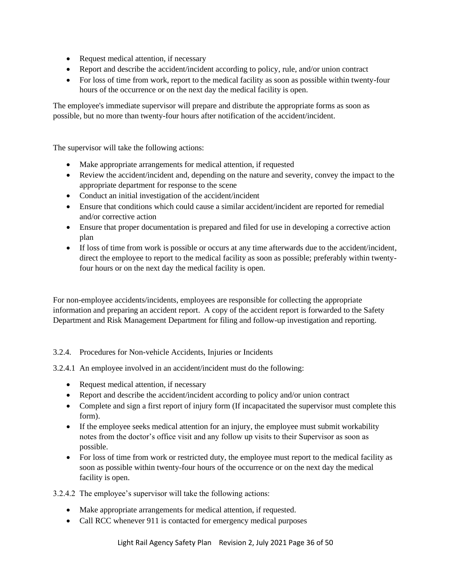- Request medical attention, if necessary
- Report and describe the accident/incident according to policy, rule, and/or union contract
- For loss of time from work, report to the medical facility as soon as possible within twenty-four hours of the occurrence or on the next day the medical facility is open.

The employee's immediate supervisor will prepare and distribute the appropriate forms as soon as possible, but no more than twenty-four hours after notification of the accident/incident.

The supervisor will take the following actions:

- Make appropriate arrangements for medical attention, if requested
- Review the accident/incident and, depending on the nature and severity, convey the impact to the appropriate department for response to the scene
- Conduct an initial investigation of the accident/incident
- Ensure that conditions which could cause a similar accident/incident are reported for remedial and/or corrective action
- Ensure that proper documentation is prepared and filed for use in developing a corrective action plan
- If loss of time from work is possible or occurs at any time afterwards due to the accident/incident, direct the employee to report to the medical facility as soon as possible; preferably within twentyfour hours or on the next day the medical facility is open.

For non-employee accidents/incidents, employees are responsible for collecting the appropriate information and preparing an accident report. A copy of the accident report is forwarded to the Safety Department and Risk Management Department for filing and follow-up investigation and reporting.

#### 3.2.4. Procedures for Non-vehicle Accidents, Injuries or Incidents

3.2.4.1 An employee involved in an accident/incident must do the following:

- Request medical attention, if necessary
- Report and describe the accident/incident according to policy and/or union contract
- Complete and sign a first report of injury form (If incapacitated the supervisor must complete this form).
- If the employee seeks medical attention for an injury, the employee must submit workability notes from the doctor's office visit and any follow up visits to their Supervisor as soon as possible.
- For loss of time from work or restricted duty, the employee must report to the medical facility as soon as possible within twenty-four hours of the occurrence or on the next day the medical facility is open.

3.2.4.2 The employee's supervisor will take the following actions:

- Make appropriate arrangements for medical attention, if requested.
- Call RCC whenever 911 is contacted for emergency medical purposes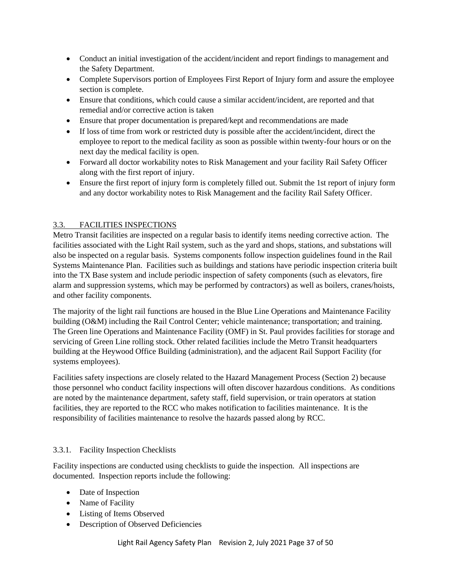- <span id="page-36-1"></span>• Conduct an initial investigation of the accident/incident and report findings to management and the Safety Department.
- Complete Supervisors portion of Employees First Report of Injury form and assure the employee section is complete.
- Ensure that conditions, which could cause a similar accident/incident, are reported and that remedial and/or corrective action is taken
- Ensure that proper documentation is prepared/kept and recommendations are made
- If loss of time from work or restricted duty is possible after the accident/incident, direct the employee to report to the medical facility as soon as possible within twenty-four hours or on the next day the medical facility is open.
- Forward all doctor workability notes to Risk Management and your facility Rail Safety Officer along with the first report of injury.
- Ensure the first report of injury form is completely filled out. Submit the 1st report of injury form and any doctor workability notes to Risk Management and the facility Rail Safety Officer.

# <span id="page-36-0"></span>3.3. FACILITIES INSPECTIONS

Metro Transit facilities are inspected on a regular basis to identify items needing corrective action. The facilities associated with the Light Rail system, such as the yard and shops, stations, and substations will also be inspected on a regular basis. Systems components follow inspection guidelines found in the Rail Systems Maintenance Plan. Facilities such as buildings and stations have periodic inspection criteria built into the TX Base system and include periodic inspection of safety components (such as elevators, fire alarm and suppression systems, which may be performed by contractors) as well as boilers, cranes/hoists, and other facility components.

The majority of the light rail functions are housed in the Blue Line Operations and Maintenance Facility building (O&M) including the Rail Control Center; vehicle maintenance; transportation; and training. The Green line Operations and Maintenance Facility (OMF) in St. Paul provides facilities for storage and servicing of Green Line rolling stock. Other related facilities include the Metro Transit headquarters building at the Heywood Office Building (administration), and the adjacent Rail Support Facility (for systems employees).

Facilities safety inspections are closely related to the Hazard Management Process (Section 2) because those personnel who conduct facility inspections will often discover hazardous conditions. As conditions are noted by the maintenance department, safety staff, field supervision, or train operators at station facilities, they are reported to the RCC who makes notification to facilities maintenance. It is the responsibility of facilities maintenance to resolve the hazards passed along by RCC.

# 3.3.1. Facility Inspection Checklists

Facility inspections are conducted using checklists to guide the inspection. All inspections are documented. Inspection reports include the following:

- Date of Inspection
- Name of Facility
- Listing of Items Observed
- Description of Observed Deficiencies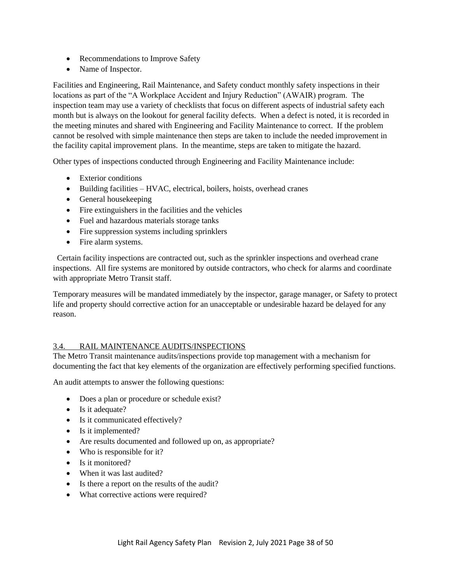- <span id="page-37-1"></span>• Recommendations to Improve Safety
- Name of Inspector.

Facilities and Engineering, Rail Maintenance, and Safety conduct monthly safety inspections in their locations as part of the "A Workplace Accident and Injury Reduction" (AWAIR) program. The inspection team may use a variety of checklists that focus on different aspects of industrial safety each month but is always on the lookout for general facility defects. When a defect is noted, it is recorded in the meeting minutes and shared with Engineering and Facility Maintenance to correct. If the problem cannot be resolved with simple maintenance then steps are taken to include the needed improvement in the facility capital improvement plans. In the meantime, steps are taken to mitigate the hazard.

Other types of inspections conducted through Engineering and Facility Maintenance include:

- Exterior conditions
- Building facilities HVAC, electrical, boilers, hoists, overhead cranes
- General housekeeping
- Fire extinguishers in the facilities and the vehicles
- Fuel and hazardous materials storage tanks
- Fire suppression systems including sprinklers
- Fire alarm systems.

 Certain facility inspections are contracted out, such as the sprinkler inspections and overhead crane inspections. All fire systems are monitored by outside contractors, who check for alarms and coordinate with appropriate Metro Transit staff.

Temporary measures will be mandated immediately by the inspector, garage manager, or Safety to protect life and property should corrective action for an unacceptable or undesirable hazard be delayed for any reason.

# <span id="page-37-0"></span>3.4. RAIL MAINTENANCE AUDITS/INSPECTIONS

The Metro Transit maintenance audits/inspections provide top management with a mechanism for documenting the fact that key elements of the organization are effectively performing specified functions.

An audit attempts to answer the following questions:

- Does a plan or procedure or schedule exist?
- Is it adequate?
- Is it communicated effectively?
- Is it implemented?
- Are results documented and followed up on, as appropriate?
- Who is responsible for it?
- Is it monitored?
- When it was last audited?
- Is there a report on the results of the audit?
- What corrective actions were required?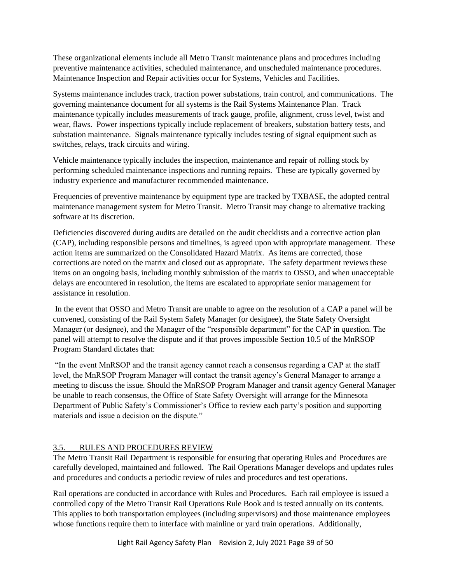<span id="page-38-1"></span>These organizational elements include all Metro Transit maintenance plans and procedures including preventive maintenance activities, scheduled maintenance, and unscheduled maintenance procedures. Maintenance Inspection and Repair activities occur for Systems, Vehicles and Facilities.

Systems maintenance includes track, traction power substations, train control, and communications. The governing maintenance document for all systems is the Rail Systems Maintenance Plan. Track maintenance typically includes measurements of track gauge, profile, alignment, cross level, twist and wear, flaws. Power inspections typically include replacement of breakers, substation battery tests, and substation maintenance. Signals maintenance typically includes testing of signal equipment such as switches, relays, track circuits and wiring.

Vehicle maintenance typically includes the inspection, maintenance and repair of rolling stock by performing scheduled maintenance inspections and running repairs. These are typically governed by industry experience and manufacturer recommended maintenance.

Frequencies of preventive maintenance by equipment type are tracked by TXBASE, the adopted central maintenance management system for Metro Transit. Metro Transit may change to alternative tracking software at its discretion.

Deficiencies discovered during audits are detailed on the audit checklists and a corrective action plan (CAP), including responsible persons and timelines, is agreed upon with appropriate management. These action items are summarized on the Consolidated Hazard Matrix. As items are corrected, those corrections are noted on the matrix and closed out as appropriate. The safety department reviews these items on an ongoing basis, including monthly submission of the matrix to OSSO, and when unacceptable delays are encountered in resolution, the items are escalated to appropriate senior management for assistance in resolution.

In the event that OSSO and Metro Transit are unable to agree on the resolution of a CAP a panel will be convened, consisting of the Rail System Safety Manager (or designee), the State Safety Oversight Manager (or designee), and the Manager of the "responsible department" for the CAP in question. The panel will attempt to resolve the dispute and if that proves impossible Section 10.5 of the MnRSOP Program Standard dictates that:

"In the event MnRSOP and the transit agency cannot reach a consensus regarding a CAP at the staff level, the MnRSOP Program Manager will contact the transit agency's General Manager to arrange a meeting to discuss the issue. Should the MnRSOP Program Manager and transit agency General Manager be unable to reach consensus, the Office of State Safety Oversight will arrange for the Minnesota Department of Public Safety's Commissioner's Office to review each party's position and supporting materials and issue a decision on the dispute."

# <span id="page-38-0"></span>3.5. RULES AND PROCEDURES REVIEW

The Metro Transit Rail Department is responsible for ensuring that operating Rules and Procedures are carefully developed, maintained and followed. The Rail Operations Manager develops and updates rules and procedures and conducts a periodic review of rules and procedures and test operations.

Rail operations are conducted in accordance with Rules and Procedures. Each rail employee is issued a controlled copy of the Metro Transit Rail Operations Rule Book and is tested annually on its contents. This applies to both transportation employees (including supervisors) and those maintenance employees whose functions require them to interface with mainline or yard train operations. Additionally,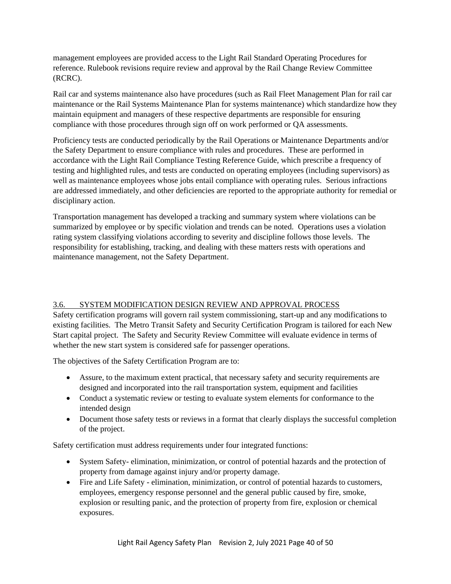<span id="page-39-1"></span>management employees are provided access to the Light Rail Standard Operating Procedures for reference. Rulebook revisions require review and approval by the Rail Change Review Committee (RCRC).

Rail car and systems maintenance also have procedures (such as Rail Fleet Management Plan for rail car maintenance or the Rail Systems Maintenance Plan for systems maintenance) which standardize how they maintain equipment and managers of these respective departments are responsible for ensuring compliance with those procedures through sign off on work performed or QA assessments.

Proficiency tests are conducted periodically by the Rail Operations or Maintenance Departments and/or the Safety Department to ensure compliance with rules and procedures. These are performed in accordance with the Light Rail Compliance Testing Reference Guide, which prescribe a frequency of testing and highlighted rules, and tests are conducted on operating employees (including supervisors) as well as maintenance employees whose jobs entail compliance with operating rules. Serious infractions are addressed immediately, and other deficiencies are reported to the appropriate authority for remedial or disciplinary action.

Transportation management has developed a tracking and summary system where violations can be summarized by employee or by specific violation and trends can be noted. Operations uses a violation rating system classifying violations according to severity and discipline follows those levels. The responsibility for establishing, tracking, and dealing with these matters rests with operations and maintenance management, not the Safety Department.

# <span id="page-39-0"></span>3.6. SYSTEM MODIFICATION DESIGN REVIEW AND APPROVAL PROCESS

Safety certification programs will govern rail system commissioning, start-up and any modifications to existing facilities. The Metro Transit Safety and Security Certification Program is tailored for each New Start capital project. The Safety and Security Review Committee will evaluate evidence in terms of whether the new start system is considered safe for passenger operations.

The objectives of the Safety Certification Program are to:

- Assure, to the maximum extent practical, that necessary safety and security requirements are designed and incorporated into the rail transportation system, equipment and facilities
- Conduct a systematic review or testing to evaluate system elements for conformance to the intended design
- Document those safety tests or reviews in a format that clearly displays the successful completion of the project.

Safety certification must address requirements under four integrated functions:

- System Safety- elimination, minimization, or control of potential hazards and the protection of property from damage against injury and/or property damage.
- Fire and Life Safety elimination, minimization, or control of potential hazards to customers, employees, emergency response personnel and the general public caused by fire, smoke, explosion or resulting panic, and the protection of property from fire, explosion or chemical exposures.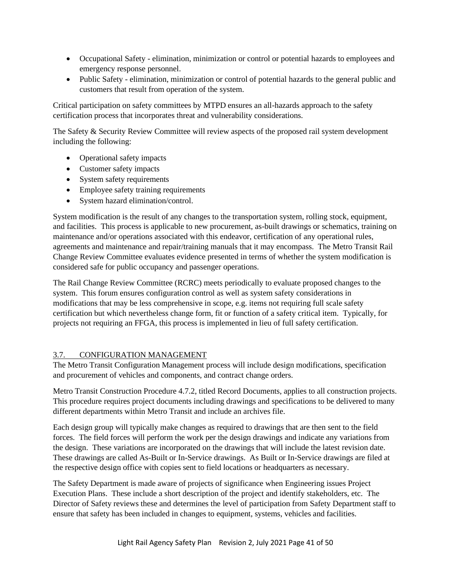- <span id="page-40-1"></span>• Occupational Safety - elimination, minimization or control or potential hazards to employees and emergency response personnel.
- Public Safety elimination, minimization or control of potential hazards to the general public and customers that result from operation of the system.

Critical participation on safety committees by MTPD ensures an all-hazards approach to the safety certification process that incorporates threat and vulnerability considerations.

The Safety & Security Review Committee will review aspects of the proposed rail system development including the following:

- Operational safety impacts
- Customer safety impacts
- System safety requirements
- Employee safety training requirements
- System hazard elimination/control.

System modification is the result of any changes to the transportation system, rolling stock, equipment, and facilities. This process is applicable to new procurement, as-built drawings or schematics, training on maintenance and/or operations associated with this endeavor, certification of any operational rules, agreements and maintenance and repair/training manuals that it may encompass. The Metro Transit Rail Change Review Committee evaluates evidence presented in terms of whether the system modification is considered safe for public occupancy and passenger operations.

The Rail Change Review Committee (RCRC) meets periodically to evaluate proposed changes to the system. This forum ensures configuration control as well as system safety considerations in modifications that may be less comprehensive in scope, e.g. items not requiring full scale safety certification but which nevertheless change form, fit or function of a safety critical item. Typically, for projects not requiring an FFGA, this process is implemented in lieu of full safety certification.

# <span id="page-40-0"></span>3.7. CONFIGURATION MANAGEMENT

The Metro Transit Configuration Management process will include design modifications, specification and procurement of vehicles and components, and contract change orders.

Metro Transit Construction Procedure 4.7.2, titled Record Documents, applies to all construction projects. This procedure requires project documents including drawings and specifications to be delivered to many different departments within Metro Transit and include an archives file.

Each design group will typically make changes as required to drawings that are then sent to the field forces. The field forces will perform the work per the design drawings and indicate any variations from the design. These variations are incorporated on the drawings that will include the latest revision date. These drawings are called As-Built or In-Service drawings. As Built or In-Service drawings are filed at the respective design office with copies sent to field locations or headquarters as necessary.

The Safety Department is made aware of projects of significance when Engineering issues Project Execution Plans. These include a short description of the project and identify stakeholders, etc. The Director of Safety reviews these and determines the level of participation from Safety Department staff to ensure that safety has been included in changes to equipment, systems, vehicles and facilities.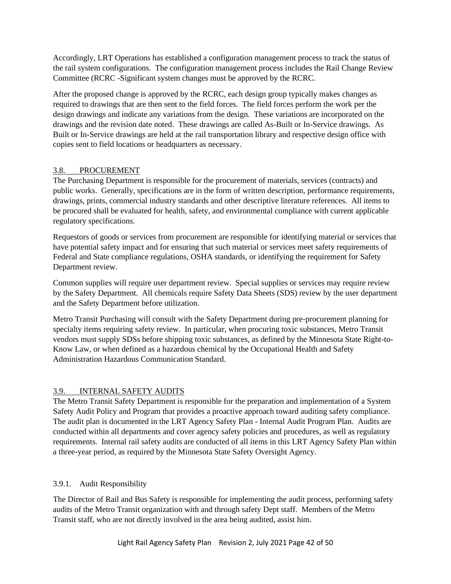<span id="page-41-2"></span>Accordingly, LRT Operations has established a configuration management process to track the status of the rail system configurations. The configuration management process includes the Rail Change Review Committee (RCRC -Significant system changes must be approved by the RCRC.

After the proposed change is approved by the RCRC, each design group typically makes changes as required to drawings that are then sent to the field forces. The field forces perform the work per the design drawings and indicate any variations from the design. These variations are incorporated on the drawings and the revision date noted. These drawings are called As-Built or In-Service drawings. As Built or In-Service drawings are held at the rail transportation library and respective design office with copies sent to field locations or headquarters as necessary.

# <span id="page-41-0"></span>3.8. PROCUREMENT

The Purchasing Department is responsible for the procurement of materials, services (contracts) and public works. Generally, specifications are in the form of written description, performance requirements, drawings, prints, commercial industry standards and other descriptive literature references. All items to be procured shall be evaluated for health, safety, and environmental compliance with current applicable regulatory specifications.

Requestors of goods or services from procurement are responsible for identifying material or services that have potential safety impact and for ensuring that such material or services meet safety requirements of Federal and State compliance regulations, OSHA standards, or identifying the requirement for Safety Department review.

Common supplies will require user department review. Special supplies or services may require review by the Safety Department. All chemicals require Safety Data Sheets (SDS) review by the user department and the Safety Department before utilization.

Metro Transit Purchasing will consult with the Safety Department during pre-procurement planning for specialty items requiring safety review. In particular, when procuring toxic substances, Metro Transit vendors must supply SDSs before shipping toxic substances, as defined by the Minnesota State Right-to-Know Law, or when defined as a hazardous chemical by the Occupational Health and Safety Administration Hazardous Communication Standard.

# <span id="page-41-1"></span>3.9. INTERNAL SAFETY AUDITS

The Metro Transit Safety Department is responsible for the preparation and implementation of a System Safety Audit Policy and Program that provides a proactive approach toward auditing safety compliance. The audit plan is documented in the LRT Agency Safety Plan - Internal Audit Program Plan. Audits are conducted within all departments and cover agency safety policies and procedures, as well as regulatory requirements. Internal rail safety audits are conducted of all items in this LRT Agency Safety Plan within a three-year period, as required by the Minnesota State Safety Oversight Agency.

# 3.9.1. Audit Responsibility

The Director of Rail and Bus Safety is responsible for implementing the audit process, performing safety audits of the Metro Transit organization with and through safety Dept staff. Members of the Metro Transit staff, who are not directly involved in the area being audited, assist him.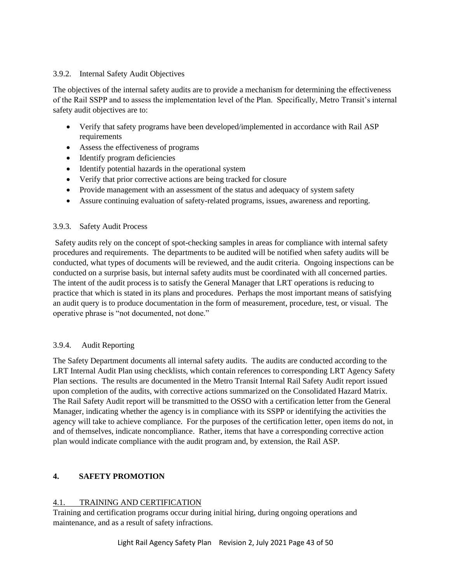#### <span id="page-42-2"></span>3.9.2. Internal Safety Audit Objectives

The objectives of the internal safety audits are to provide a mechanism for determining the effectiveness of the Rail SSPP and to assess the implementation level of the Plan. Specifically, Metro Transit's internal safety audit objectives are to:

- Verify that safety programs have been developed/implemented in accordance with Rail ASP requirements
- Assess the effectiveness of programs
- Identify program deficiencies
- Identify potential hazards in the operational system
- Verify that prior corrective actions are being tracked for closure
- Provide management with an assessment of the status and adequacy of system safety
- Assure continuing evaluation of safety-related programs, issues, awareness and reporting.

#### 3.9.3. Safety Audit Process

Safety audits rely on the concept of spot-checking samples in areas for compliance with internal safety procedures and requirements. The departments to be audited will be notified when safety audits will be conducted, what types of documents will be reviewed, and the audit criteria. Ongoing inspections can be conducted on a surprise basis, but internal safety audits must be coordinated with all concerned parties. The intent of the audit process is to satisfy the General Manager that LRT operations is reducing to practice that which is stated in its plans and procedures. Perhaps the most important means of satisfying an audit query is to produce documentation in the form of measurement, procedure, test, or visual. The operative phrase is "not documented, not done."

# 3.9.4. Audit Reporting

The Safety Department documents all internal safety audits. The audits are conducted according to the LRT Internal Audit Plan using checklists, which contain references to corresponding LRT Agency Safety Plan sections. The results are documented in the Metro Transit Internal Rail Safety Audit report issued upon completion of the audits, with corrective actions summarized on the Consolidated Hazard Matrix. The Rail Safety Audit report will be transmitted to the OSSO with a certification letter from the General Manager, indicating whether the agency is in compliance with its SSPP or identifying the activities the agency will take to achieve compliance. For the purposes of the certification letter, open items do not, in and of themselves, indicate noncompliance. Rather, items that have a corresponding corrective action plan would indicate compliance with the audit program and, by extension, the Rail ASP.

# <span id="page-42-0"></span>**4. SAFETY PROMOTION**

# <span id="page-42-1"></span>4.1. TRAINING AND CERTIFICATION

Training and certification programs occur during initial hiring, during ongoing operations and maintenance, and as a result of safety infractions.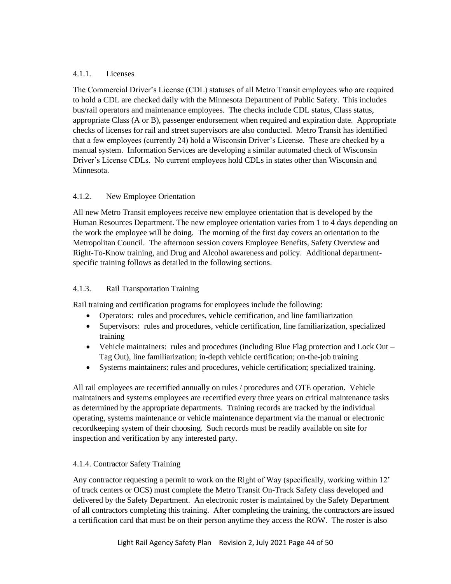### 4.1.1. Licenses

The Commercial Driver's License (CDL) statuses of all Metro Transit employees who are required to hold a CDL are checked daily with the Minnesota Department of Public Safety. This includes bus/rail operators and maintenance employees. The checks include CDL status, Class status, appropriate Class (A or B), passenger endorsement when required and expiration date. Appropriate checks of licenses for rail and street supervisors are also conducted. Metro Transit has identified that a few employees (currently 24) hold a Wisconsin Driver's License. These are checked by a manual system. Information Services are developing a similar automated check of Wisconsin Driver's License CDLs. No current employees hold CDLs in states other than Wisconsin and Minnesota.

# 4.1.2. New Employee Orientation

All new Metro Transit employees receive new employee orientation that is developed by the Human Resources Department. The new employee orientation varies from 1 to 4 days depending on the work the employee will be doing. The morning of the first day covers an orientation to the Metropolitan Council. The afternoon session covers Employee Benefits, Safety Overview and Right-To-Know training, and Drug and Alcohol awareness and policy. Additional departmentspecific training follows as detailed in the following sections.

### 4.1.3. Rail Transportation Training

Rail training and certification programs for employees include the following:

- Operators: rules and procedures, vehicle certification, and line familiarization
- Supervisors: rules and procedures, vehicle certification, line familiarization, specialized training
- Vehicle maintainers: rules and procedures (including Blue Flag protection and Lock Out Tag Out), line familiarization; in-depth vehicle certification; on-the-job training
- Systems maintainers: rules and procedures, vehicle certification; specialized training.

All rail employees are recertified annually on rules / procedures and OTE operation. Vehicle maintainers and systems employees are recertified every three years on critical maintenance tasks as determined by the appropriate departments. Training records are tracked by the individual operating, systems maintenance or vehicle maintenance department via the manual or electronic recordkeeping system of their choosing. Such records must be readily available on site for inspection and verification by any interested party.

#### 4.1.4. Contractor Safety Training

Any contractor requesting a permit to work on the Right of Way (specifically, working within 12' of track centers or OCS) must complete the Metro Transit On-Track Safety class developed and delivered by the Safety Department. An electronic roster is maintained by the Safety Department of all contractors completing this training. After completing the training, the contractors are issued a certification card that must be on their person anytime they access the ROW. The roster is also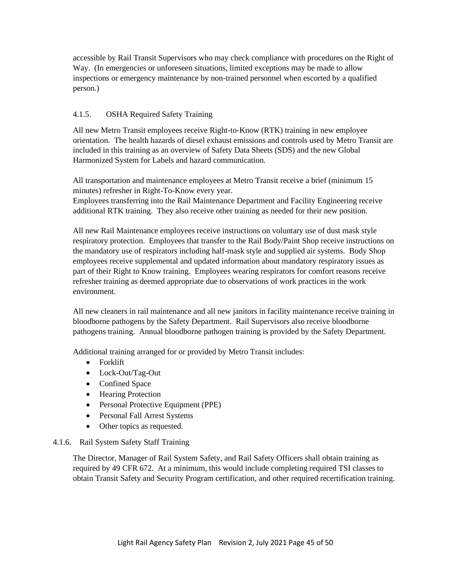accessible by Rail Transit Supervisors who may check compliance with procedures on the Right of Way. (In emergencies or unforeseen situations, limited exceptions may be made to allow inspections or emergency maintenance by non-trained personnel when escorted by a qualified person.)

# 4.1.5. OSHA Required Safety Training

All new Metro Transit employees receive Right-to-Know (RTK) training in new employee orientation. The health hazards of diesel exhaust emissions and controls used by Metro Transit are included in this training as an overview of Safety Data Sheets (SDS) and the new Global Harmonized System for Labels and hazard communication.

All transportation and maintenance employees at Metro Transit receive a brief (minimum 15 minutes) refresher in Right-To-Know every year.

Employees transferring into the Rail Maintenance Department and Facility Engineering receive additional RTK training. They also receive other training as needed for their new position.

All new Rail Maintenance employees receive instructions on voluntary use of dust mask style respiratory protection. Employees that transfer to the Rail Body/Paint Shop receive instructions on the mandatory use of respirators including half-mask style and supplied air systems. Body Shop employees receive supplemental and updated information about mandatory respiratory issues as part of their Right to Know training. Employees wearing respirators for comfort reasons receive refresher training as deemed appropriate due to observations of work practices in the work environment.

All new cleaners in rail maintenance and all new janitors in facility maintenance receive training in bloodborne pathogens by the Safety Department. Rail Supervisors also receive bloodborne pathogens training. Annual bloodborne pathogen training is provided by the Safety Department.

Additional training arranged for or provided by Metro Transit includes:

- Forklift
- Lock-Out/Tag-Out
- Confined Space
- Hearing Protection
- Personal Protective Equipment (PPE)
- Personal Fall Arrest Systems
- Other topics as requested.

# 4.1.6. Rail System Safety Staff Training

The Director, Manager of Rail System Safety, and Rail Safety Officers shall obtain training as required by 49 CFR 672. At a minimum, this would include completing required TSI classes to obtain Transit Safety and Security Program certification, and other required recertification training.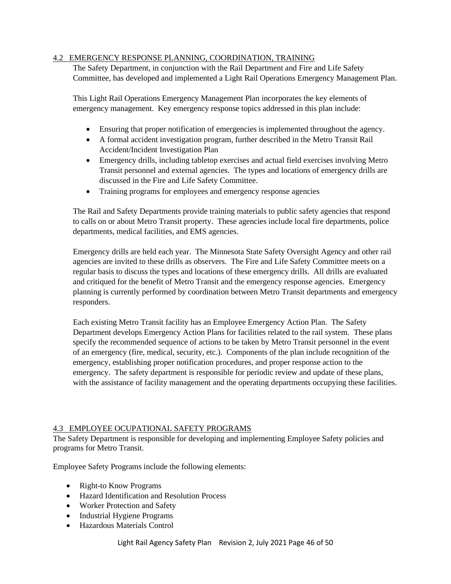### <span id="page-45-2"></span><span id="page-45-0"></span>4.2 EMERGENCY RESPONSE PLANNING, COORDINATION, TRAINING

The Safety Department, in conjunction with the Rail Department and Fire and Life Safety Committee, has developed and implemented a Light Rail Operations Emergency Management Plan.

This Light Rail Operations Emergency Management Plan incorporates the key elements of emergency management. Key emergency response topics addressed in this plan include:

- Ensuring that proper notification of emergencies is implemented throughout the agency.
- A formal accident investigation program, further described in the Metro Transit Rail Accident/Incident Investigation Plan
- Emergency drills, including tabletop exercises and actual field exercises involving Metro Transit personnel and external agencies. The types and locations of emergency drills are discussed in the Fire and Life Safety Committee.
- Training programs for employees and emergency response agencies

The Rail and Safety Departments provide training materials to public safety agencies that respond to calls on or about Metro Transit property. These agencies include local fire departments, police departments, medical facilities, and EMS agencies.

Emergency drills are held each year. The Minnesota State Safety Oversight Agency and other rail agencies are invited to these drills as observers. The Fire and Life Safety Committee meets on a regular basis to discuss the types and locations of these emergency drills. All drills are evaluated and critiqued for the benefit of Metro Transit and the emergency response agencies. Emergency planning is currently performed by coordination between Metro Transit departments and emergency responders.

Each existing Metro Transit facility has an Employee Emergency Action Plan. The Safety Department develops Emergency Action Plans for facilities related to the rail system. These plans specify the recommended sequence of actions to be taken by Metro Transit personnel in the event of an emergency (fire, medical, security, etc.). Components of the plan include recognition of the emergency, establishing proper notification procedures, and proper response action to the emergency. The safety department is responsible for periodic review and update of these plans, with the assistance of facility management and the operating departments occupying these facilities.

# <span id="page-45-1"></span>4.3 EMPLOYEE OCUPATIONAL SAFETY PROGRAMS

The Safety Department is responsible for developing and implementing Employee Safety policies and programs for Metro Transit.

Employee Safety Programs include the following elements:

- Right-to Know Programs
- Hazard Identification and Resolution Process
- Worker Protection and Safety
- Industrial Hygiene Programs
- Hazardous Materials Control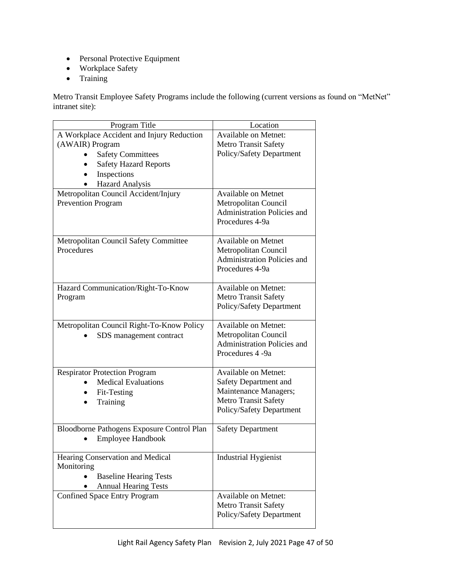- Personal Protective Equipment
- Workplace Safety
- Training

Metro Transit Employee Safety Programs include the following (current versions as found on "MetNet" intranet site):

| Program Title                              | Location                           |
|--------------------------------------------|------------------------------------|
| A Workplace Accident and Injury Reduction  | <b>Available on Metnet:</b>        |
| (AWAIR) Program                            | <b>Metro Transit Safety</b>        |
| <b>Safety Committees</b>                   | Policy/Safety Department           |
| <b>Safety Hazard Reports</b>               |                                    |
| Inspections                                |                                    |
| Hazard Analysis                            |                                    |
| Metropolitan Council Accident/Injury       | <b>Available on Metnet</b>         |
| <b>Prevention Program</b>                  | Metropolitan Council               |
|                                            | <b>Administration Policies and</b> |
|                                            | Procedures 4-9a                    |
|                                            |                                    |
| Metropolitan Council Safety Committee      | <b>Available on Metnet</b>         |
| Procedures                                 | Metropolitan Council               |
|                                            | <b>Administration Policies and</b> |
|                                            | Procedures 4-9a                    |
|                                            |                                    |
| Hazard Communication/Right-To-Know         | <b>Available on Metnet:</b>        |
| Program                                    | <b>Metro Transit Safety</b>        |
|                                            | Policy/Safety Department           |
|                                            |                                    |
| Metropolitan Council Right-To-Know Policy  | <b>Available on Metnet:</b>        |
| SDS management contract                    | Metropolitan Council               |
|                                            | <b>Administration Policies and</b> |
|                                            | Procedures 4 -9a                   |
|                                            |                                    |
| <b>Respirator Protection Program</b>       | <b>Available on Metnet:</b>        |
| <b>Medical Evaluations</b>                 | Safety Department and              |
| Fit-Testing                                | Maintenance Managers;              |
| Training                                   | <b>Metro Transit Safety</b>        |
|                                            | Policy/Safety Department           |
|                                            |                                    |
| Bloodborne Pathogens Exposure Control Plan | <b>Safety Department</b>           |
| <b>Employee Handbook</b>                   |                                    |
| Hearing Conservation and Medical           | <b>Industrial Hygienist</b>        |
| Monitoring                                 |                                    |
| <b>Baseline Hearing Tests</b>              |                                    |
| <b>Annual Hearing Tests</b>                |                                    |
| <b>Confined Space Entry Program</b>        | <b>Available on Metnet:</b>        |
|                                            | <b>Metro Transit Safety</b>        |
|                                            | Policy/Safety Department           |
|                                            |                                    |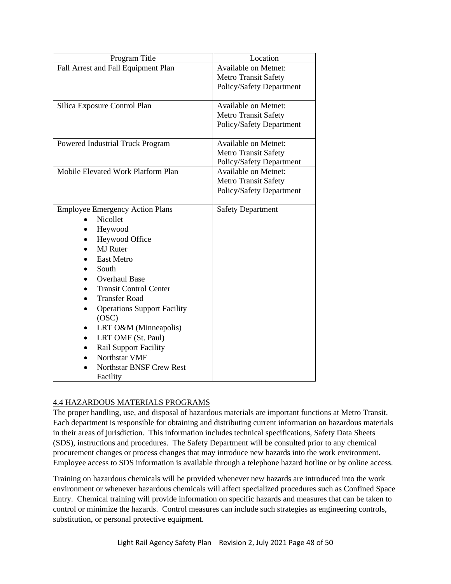<span id="page-47-1"></span>

| Program Title                          | Location                    |
|----------------------------------------|-----------------------------|
| Fall Arrest and Fall Equipment Plan    | <b>Available on Metnet:</b> |
|                                        | <b>Metro Transit Safety</b> |
|                                        | Policy/Safety Department    |
|                                        |                             |
| Silica Exposure Control Plan           | <b>Available on Metnet:</b> |
|                                        | <b>Metro Transit Safety</b> |
|                                        | Policy/Safety Department    |
| Powered Industrial Truck Program       | <b>Available on Metnet:</b> |
|                                        | <b>Metro Transit Safety</b> |
|                                        | Policy/Safety Department    |
| Mobile Elevated Work Platform Plan     | <b>Available on Metnet:</b> |
|                                        | <b>Metro Transit Safety</b> |
|                                        | Policy/Safety Department    |
|                                        |                             |
| <b>Employee Emergency Action Plans</b> | <b>Safety Department</b>    |
| Nicollet                               |                             |
| Heywood                                |                             |
| Heywood Office                         |                             |
| <b>MJ</b> Ruter                        |                             |
| <b>East Metro</b>                      |                             |
| South                                  |                             |
| <b>Overhaul Base</b>                   |                             |
| <b>Transit Control Center</b>          |                             |
| <b>Transfer Road</b>                   |                             |
| <b>Operations Support Facility</b>     |                             |
| (OSC)                                  |                             |
| LRT O&M (Minneapolis)                  |                             |
| LRT OMF (St. Paul)<br>$\bullet$        |                             |
| <b>Rail Support Facility</b>           |                             |
| Northstar VMF                          |                             |
| <b>Northstar BNSF Crew Rest</b>        |                             |
| Facility                               |                             |

# <span id="page-47-0"></span>4.4 HAZARDOUS MATERIALS PROGRAMS

The proper handling, use, and disposal of hazardous materials are important functions at Metro Transit. Each department is responsible for obtaining and distributing current information on hazardous materials in their areas of jurisdiction. This information includes technical specifications, Safety Data Sheets (SDS), instructions and procedures. The Safety Department will be consulted prior to any chemical procurement changes or process changes that may introduce new hazards into the work environment. Employee access to SDS information is available through a telephone hazard hotline or by online access.

Training on hazardous chemicals will be provided whenever new hazards are introduced into the work environment or whenever hazardous chemicals will affect specialized procedures such as Confined Space Entry. Chemical training will provide information on specific hazards and measures that can be taken to control or minimize the hazards. Control measures can include such strategies as engineering controls, substitution, or personal protective equipment.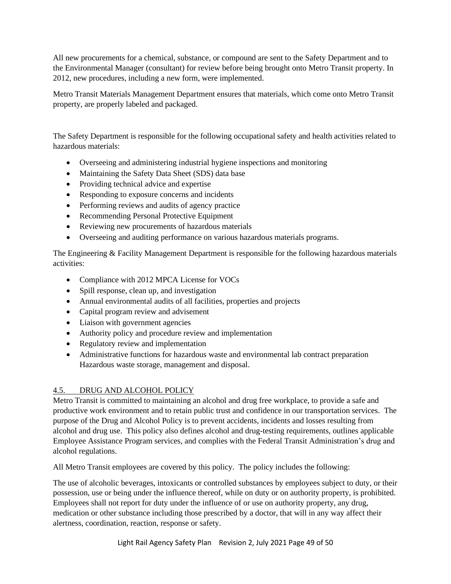<span id="page-48-1"></span>All new procurements for a chemical, substance, or compound are sent to the Safety Department and to the Environmental Manager (consultant) for review before being brought onto Metro Transit property. In 2012, new procedures, including a new form, were implemented.

Metro Transit Materials Management Department ensures that materials, which come onto Metro Transit property, are properly labeled and packaged.

The Safety Department is responsible for the following occupational safety and health activities related to hazardous materials:

- Overseeing and administering industrial hygiene inspections and monitoring
- Maintaining the Safety Data Sheet (SDS) data base
- Providing technical advice and expertise
- Responding to exposure concerns and incidents
- Performing reviews and audits of agency practice
- Recommending Personal Protective Equipment
- Reviewing new procurements of hazardous materials
- Overseeing and auditing performance on various hazardous materials programs.

The Engineering & Facility Management Department is responsible for the following hazardous materials activities:

- Compliance with 2012 MPCA License for VOCs
- Spill response, clean up, and investigation
- Annual environmental audits of all facilities, properties and projects
- Capital program review and advisement
- Liaison with government agencies
- Authority policy and procedure review and implementation
- Regulatory review and implementation
- Administrative functions for hazardous waste and environmental lab contract preparation Hazardous waste storage, management and disposal.

# <span id="page-48-0"></span>4.5. DRUG AND ALCOHOL POLICY

Metro Transit is committed to maintaining an alcohol and drug free workplace, to provide a safe and productive work environment and to retain public trust and confidence in our transportation services. The purpose of the Drug and Alcohol Policy is to prevent accidents, incidents and losses resulting from alcohol and drug use. This policy also defines alcohol and drug-testing requirements, outlines applicable Employee Assistance Program services, and complies with the Federal Transit Administration's drug and alcohol regulations.

All Metro Transit employees are covered by this policy. The policy includes the following:

The use of alcoholic beverages, intoxicants or controlled substances by employees subject to duty, or their possession, use or being under the influence thereof, while on duty or on authority property, is prohibited. Employees shall not report for duty under the influence of or use on authority property, any drug, medication or other substance including those prescribed by a doctor, that will in any way affect their alertness, coordination, reaction, response or safety.